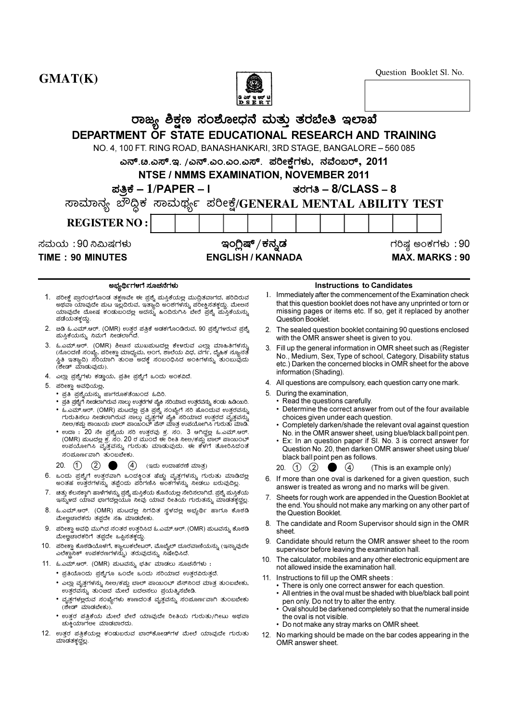

Question Booklet Sl. No.

|                                                                                                                                                                                                                                                                                                                                   |                                                                                                                                                                                                                                                                                        | ਕ ਚਰਾ 13<br>DSERT |                                                                                                                                                                                                   |                                                                                                                                                                                                                                                                                                                                                           |
|-----------------------------------------------------------------------------------------------------------------------------------------------------------------------------------------------------------------------------------------------------------------------------------------------------------------------------------|----------------------------------------------------------------------------------------------------------------------------------------------------------------------------------------------------------------------------------------------------------------------------------------|-------------------|---------------------------------------------------------------------------------------------------------------------------------------------------------------------------------------------------|-----------------------------------------------------------------------------------------------------------------------------------------------------------------------------------------------------------------------------------------------------------------------------------------------------------------------------------------------------------|
|                                                                                                                                                                                                                                                                                                                                   | ರಾಜ್ಯ ಶಿಕ್ಷಣ ಸಂಶೋಧನೆ ಮತ್ತು ತರಬೇತಿ ಇಲಾಖೆ                                                                                                                                                                                                                                                |                   |                                                                                                                                                                                                   |                                                                                                                                                                                                                                                                                                                                                           |
|                                                                                                                                                                                                                                                                                                                                   | DEPARTMENT OF STATE EDUCATIONAL RESEARCH AND TRAINING                                                                                                                                                                                                                                  |                   |                                                                                                                                                                                                   |                                                                                                                                                                                                                                                                                                                                                           |
|                                                                                                                                                                                                                                                                                                                                   |                                                                                                                                                                                                                                                                                        |                   |                                                                                                                                                                                                   |                                                                                                                                                                                                                                                                                                                                                           |
|                                                                                                                                                                                                                                                                                                                                   | NO. 4, 100 FT. RING ROAD, BANASHANKARI, 3RD STAGE, BANGALORE - 560 085                                                                                                                                                                                                                 |                   |                                                                                                                                                                                                   |                                                                                                                                                                                                                                                                                                                                                           |
|                                                                                                                                                                                                                                                                                                                                   | ಎನ್.ೞ.ಎಸ್.ಇ. /ಎನ್.ಎಂ.ಎಂ.ಎಸ್. ಪರೀಕ್ಷೆಗಳು, ನವೆಂಬರ್, 2011                                                                                                                                                                                                                                 |                   |                                                                                                                                                                                                   |                                                                                                                                                                                                                                                                                                                                                           |
|                                                                                                                                                                                                                                                                                                                                   | NTSE / NMMS EXAMINATION, NOVEMBER 2011                                                                                                                                                                                                                                                 |                   |                                                                                                                                                                                                   |                                                                                                                                                                                                                                                                                                                                                           |
|                                                                                                                                                                                                                                                                                                                                   | ಪತ್ರಿಕೆ – $1$ /PAPER – l                                                                                                                                                                                                                                                               |                   | ತರಗತಿ – $8/CLASS - 8$                                                                                                                                                                             |                                                                                                                                                                                                                                                                                                                                                           |
|                                                                                                                                                                                                                                                                                                                                   | ಸಾಮಾನ್ಯ ಬೌದ್ಧಿಕ ಸಾಮರ್ಥ್ಯ ಪರೀಕ್ಷೆ/GENERAL MENTAL ABILITY TEST                                                                                                                                                                                                                           |                   |                                                                                                                                                                                                   |                                                                                                                                                                                                                                                                                                                                                           |
| <b>REGISTER NO:</b>                                                                                                                                                                                                                                                                                                               |                                                                                                                                                                                                                                                                                        |                   |                                                                                                                                                                                                   |                                                                                                                                                                                                                                                                                                                                                           |
| ಸಮಯ :90 ನಿಮಿಷಗಳು                                                                                                                                                                                                                                                                                                                  | ಇಂಗ್ಲಿಷ್ /ಕನ್ನಡ                                                                                                                                                                                                                                                                        |                   |                                                                                                                                                                                                   | ಗರಿಷ್ಠ ಅಂಕಗಳು :90                                                                                                                                                                                                                                                                                                                                         |
| <b>TIME: 90 MINUTES</b>                                                                                                                                                                                                                                                                                                           | <b>ENGLISH / KANNADA</b>                                                                                                                                                                                                                                                               |                   |                                                                                                                                                                                                   | <b>MAX. MARKS: 90</b>                                                                                                                                                                                                                                                                                                                                     |
|                                                                                                                                                                                                                                                                                                                                   |                                                                                                                                                                                                                                                                                        |                   |                                                                                                                                                                                                   |                                                                                                                                                                                                                                                                                                                                                           |
| ಅಭ್ಯರ್ಥಿಗಳಗೆ ಸೂಚನೆಗಳು                                                                                                                                                                                                                                                                                                             |                                                                                                                                                                                                                                                                                        |                   |                                                                                                                                                                                                   | <b>Instructions to Candidates</b>                                                                                                                                                                                                                                                                                                                         |
| 1. ಪರೀಕ್ಷೆ ಪ್ರಾರಂಭಗೊಂಡ ತಕ್ಷಣವೇ ಈ ಪ್ರಶ್ನೆ ಮಸ್ತಿಕೆಯಲ್ಲ ಮುದ್ರಿತವಾಗದ, ಹರಿದಿರುವ<br>ಅಥವಾ ಯಾವುದೇ ಮಟ ಇಲ್ಲದಿರುವ, ಇತ್ಯಾಾದಿ ಅ೦ಶಗಳನ್ನು ಪರೀಕ್ಷಿಸತಕ್ತದ್ದು. ಮೇಅನ<br>ಯಾವುದೇ ದೋಷ ಕ೦ಡುಬ೦ದಲ್ಲ ಅದನ್ನು ಹಿ೦ದಿರುಗಿಸಿ ಬೇರೆ ಪ್ರಶ್ನೆ ಮಸ್ತಿಕೆಯನ್ನು<br>ಪಡೆಯತಕ್ತದ್ದು.                                                                                          |                                                                                                                                                                                                                                                                                        |                   | Question Booklet.                                                                                                                                                                                 | 1. Immediately after the commencement of the Examination check<br>that this question booklet does not have any unprinted or torn or<br>missing pages or items etc. If so, get it replaced by another                                                                                                                                                      |
| 2.   ಏಡಿ ಓ.ಎಮ್.ಆರ್. (OMR) ಉತ್ತರ ಪತ್ರಿಕೆ ಅಡಕಗೊಂಡಿರುವ, 90 ಪ್ರಶ್ನೆಗಳರುವ ಪ್ರಶ್ನೆ<br>ಮಸ್ತಿಕೆಯನ್ನು ನಿಮಗೆ ನೀಡಲಾಗಿದೆ.                                                                                                                                                                                                                     |                                                                                                                                                                                                                                                                                        |                   | with the OMR answer sheet is given to you.                                                                                                                                                        | 2. The sealed question booklet containing 90 questions enclosed                                                                                                                                                                                                                                                                                           |
| 3. ಓ.ಎಮ್.ಆರ್. (OMR) ಶೀಚಿನ ಮುಖಮಟದಲ್ಲಿ ಕೇಳರುವ ಎಲ್ಲಾ ಮಾಹಿತಿಗಳನ್ನು<br>(ನೊ೦ದಣಿ ಸ೦ಖ್ಯೆ, ಪರೀಕ್ಷಾ ಮಾಧ್ಯಮ, ಅ೦ಗ, ಶಾಲೆಯ ವಿಧ, ವರ್ಗ, ದೈಹಿಕ ನ್ಯೂನತೆ<br>ಸ್ಥಿತಿ ಇತ್ಯಾದಿ) ಸರಿಯಾಗಿ ತುಂಜ ಅದಕ್ಕೆ ಸಂಬಂಧಿಸಿದ ಅಂಕಿಗಳನ್ನು ತುಂಬುವುದು<br>(ಶೇಡ್ ಮಾಡುವುದು).                                                                                                   |                                                                                                                                                                                                                                                                                        |                   | information (Shading).                                                                                                                                                                            | 3. Fill up the general information in OMR sheet such as (Register<br>No., Medium, Sex, Type of school, Category, Disability status<br>etc.) Darken the concerned blocks in OMR sheet for the above                                                                                                                                                        |
| 4.  ಎಲ್ಲಾ ಪ್ರಶ್ನೆಗಳು ಕಡ್ಡಾಯ, ಪ್ರತೀ ಪ್ರಶ್ನೆಗೆ ಒಂದು ಅಂಕವಿದೆ.<br>5. ಪರೀಕ್ಷಾ ಅವಧಿಯಲ್ಲ,                                                                                                                                                                                                                                                |                                                                                                                                                                                                                                                                                        |                   |                                                                                                                                                                                                   | 4. All questions are compulsory, each question carry one mark.                                                                                                                                                                                                                                                                                            |
| • ಪ್ರತಿ ಪ್ರಶ್ನೆಯನ್ನು ಜಾಗರೂಕತೆಯಿ೦ದ ಓದಿರಿ.<br>•  ಪ್ರತಿ ಪ್ರಶ್ನೆಗೆ ನೀಡಲಾಗಿರುವ ನಾಲ್ಕು ಉತ್ತರಗಳ ಪೈಕಿ ಸರಿಯಾದ ಉತ್ತರವನ್ನು ಕ೦ಡು ಹಿಡಿಯಿರಿ.<br>• ಓ.ಎಮ್.ಆರ್. (OMR) ಮಟದಲ್ಲ ಪ್ರತಿ ಪ್ರಶ್ನೆ ಸ೦ಖ್ಯೆಗೆ ಸರಿ ಹೊ೦ದುವ ಉತ್ತರವನ್ನು<br>• ಉದಾ : 20 ನೇ ಪ್ರಶ್ನೆಯ ಸರಿ ಉತ್ತರವು ಕ್ರ. ಸಂ. 3 ಆಗಿದ್ದಲ್ಲ ಓ.ಎಮ್.ಆರ್.<br>ಸಂಮೂರ್ಣವಾಗಿ ತುಂಬಬೇಕು.<br>20.<br>(1)             | ಗುರುತಿಸಲು ನೀಡಲಾಗಿರುವ ನಾಲ್ಕು ವೃತ್ತಗಳ ಪೈಕಿ ಸರಿಯಾದ ಉತ್ತರದ ವೃತ್ತವನ್ನು<br>ನೀಅ/ಕಪ್ಪು ಶಾಯಿಯ ಬಾಲ್ ಪಾಯ೦ಬ್ ಪೆನ್ ಮಾತ್ರ ಉಪಯೋಗಿಸಿ ಗುರುತು ಮಾಡಿ.<br>(OMR) ಮಟದಲ್ಲಿ ಕ್ರ. ಸಂ. 20 ರ ಮುಂದೆ ಈ ರೀತಿ ನೀಅ/ಕಪ್ಪು ಬಾಲ್ ಪಾಯಿಂಬ್<br>ಉಪಯೋಗಿಸಿ ವೃತ್ತವನ್ನು ಗುರುತು ಮಾಡುವುದು. ಈ ಕೆಳಗೆ ತೋರಿಸಿದ೦ತೆ<br>(ಇದು ಉದಾಹರಣೆ ಮಾತ್ರ) |                   | 5. During the examination,<br>• Read the questions carefully.<br>choices given under each question.<br>black ball point pen as follows.<br>$\circled{1}$<br>$\circled{2}$<br>$\circled{4}$<br>20. | • Determine the correct answer from out of the four available<br>• Completely darken/shade the relevant oval against question<br>No. in the OMR answer sheet, using blue/black ball point pen.<br>• Ex: In an question paper if SI. No. 3 is correct answer for<br>Question No. 20, then darken OMR answer sheet using blue/<br>(This is an example only) |
| 6. ಒಂದು ಪ್ರಶ್ನೆಗೆ ಉತ್ತರವಾಗಿ ಒಂದಕ್ಕಿಂತ ಹೆಚ್ಚು ವೃತ್ತಗಳನ್ನು ಗುರುತು ಮಾಡಿದಲ್ಲ                                                                                                                                                                                                                                                          |                                                                                                                                                                                                                                                                                        |                   |                                                                                                                                                                                                   | 6. If more than one oval is darkened for a given question, such                                                                                                                                                                                                                                                                                           |
| ಅಂತಹ ಉತ್ತರಗಳನ್ನು ತಪ್ಪೆಂದು ಪರಿಗಣಿಸಿ ಅಂಕಗಳನ್ನು ನೀಡಲು ಬರುವುದಿಲ್ಲ.<br>7.   ಚಿತ್ತು ಕೆಲಸಕ್ತಾಗಿ ಹಾಳೆಗಳನ್ನು ಪ್ರಶ್ನೆ ಮಸ್ತಿಕೆಯ ಕೊನೆಯಲ್ಲ ಸೇರಿಸಲಾಗಿದೆ. ಪ್ರಶ್ನೆ ಮಸ್ತಿಕೆಯ<br>ಇನ್ಶುಳದ ಯಾವ ಭಾಗದಲ್ಲಯೂ ನೀವು ಯಾವ ರೀತಿಯ ಗುರುತನ್ನು ಮಾಡತಕ್ಕದ್ದಲ್ಲ.                                                                                                      |                                                                                                                                                                                                                                                                                        |                   | answer is treated as wrong and no marks will be given.                                                                                                                                            | 7. Sheets for rough work are appended in the Question Booklet at                                                                                                                                                                                                                                                                                          |
| 8. ಓ.ಎಮ್.ಆರ್. (OMR) ಮಟದಲ್ಲ ನಿಗದಿತ ಸ್ಥಳದಲ್ಲ ಅಭ್ಯರ್ಥಿ ಹಾಗೂ ಕೊಠಡಿ<br>ಮೇಲ್ವಚಾರಕರು ತಪ್ಪದೇ ಸಹಿ ಮಾಡಬೇಕು.                                                                                                                                                                                                                                 |                                                                                                                                                                                                                                                                                        |                   | the Question Booklet.                                                                                                                                                                             | the end. You should not make any marking on any other part of                                                                                                                                                                                                                                                                                             |
| 9.   ಪರೀಕ್ಷಾ ಅವಧಿ ಮುಗಿದ ನಂತರ ಉತ್ತರಿಸಿದ ಓ.ಎಮ್.ಆರ್. (OMR) ಮಟವನ್ನು ಕೊಠಡಿ<br>ಮೇಲ್ವಚಾರಕರಿಗೆ ತಪ್ಪದೇ ಒಪ್ಪಿಸತಕ್ತದ್ದು.                                                                                                                                                                                                                     |                                                                                                                                                                                                                                                                                        |                   | sheet.                                                                                                                                                                                            | 8. The candidate and Room Supervisor should sign in the OMR                                                                                                                                                                                                                                                                                               |
| 10. ಪರೀಕ್ಷಾ ಕೊಠಡಿಯೊಳಗೆ, ಕ್ಯಾಲುಕಲೇಟರ್, ಮೊಬೈಲ್ ದೂರವಾಣಿಯನ್ನು (ಇನ್ನಾವುದೇ<br>ಎಲೆಕ್ಟ್ರಾನಿಕ್ ಉಪಕರಣಗಳನ್ನು) ತರುವುದನ್ನು ನಿಷೇಧಿಸಿದೆ.                                                                                                                                                                                                         |                                                                                                                                                                                                                                                                                        |                   | supervisor before leaving the examination hall.                                                                                                                                                   | 9. Candidate should return the OMR answer sheet to the room                                                                                                                                                                                                                                                                                               |
| 11.  ಓ.ಎಮ್.ಆರ್. (OMR) ಮಟವನ್ನು ಭರ್ತಿ ಮಾಡಲು ಸೂಚನೆಗಳು :                                                                                                                                                                                                                                                                              |                                                                                                                                                                                                                                                                                        |                   | not allowed inside the examination hall.                                                                                                                                                          | 10. The calculator, mobiles and any other electronic equipment are                                                                                                                                                                                                                                                                                        |
| • ಪ್ರತಿಯೊ೦ದು ಪ್ರಶ್ನೆಗೂ ಒ೦ದೇ ಒ೦ದು ಸರಿಯಾದ ಉತ್ತರವಿರುತ್ತದೆ.<br>• ಎಲ್ಲಾ ವೃತ್ತಗಳನ್ನು ನೀಅ/ಕಪ್ಪು ಬಾಲ್ ಪಾಯಿ೦ಬ್ ಪೆನ್ನಿ೦ದ ಮಾತ್ರ ತು೦ಬಬೇಕು,<br>ಉತ್ತರವನ್ನು ತು೦ಙದ ಮೇಲೆ ಬದಅಸಲು ಪ್ರಯತ್ನಿಸಬೇಡಿ.<br>• ವೃತ್ತಗಳಲ್ಲರುವ ಸ೦ಖ್ಯೆಗಳು ಕಾಣದ೦ತೆ ವೃತ್ತವನ್ನು ಸ೦ಪೂರ್ಣವಾಗಿ ತು೦ಬಬೇಕು<br>(ಶೇಡ್ ಮಾಡಬೇಕು).<br>• ಉತ್ತರ ಪತ್ರಿಕೆಯ ಮೇಲೆ ಬೇರೆ ಯಾವುದೇ ರೀತಿಯ ಗುರುತು/ಗೀಟು ಅಥವಾ |                                                                                                                                                                                                                                                                                        |                   | 11. Instructions to fill up the OMR sheets :<br>• There is only one correct answer for each question.<br>pen only. Do not try to alter the entry.<br>the oval is not visible.                     | • All entries in the oval must be shaded with blue/black ball point<br>• Oval should be darkened completely so that the numeral inside                                                                                                                                                                                                                    |
| ಚುಕ್ತಿಯಾಗಲೕ ಮಾಡಬಾರದು.                                                                                                                                                                                                                                                                                                             |                                                                                                                                                                                                                                                                                        |                   | • Do not make any stray marks on OMR sheet.                                                                                                                                                       |                                                                                                                                                                                                                                                                                                                                                           |

- 12. ಉತ್ತರ ಪತ್ರಿಕೆಯಲ್ಲ ಕಂಡುಬರುವ ಬಾರ್ಕೋಡ್ಗಳ ಮೇಲೆ ಯಾವುದೇ ಗುರುತು<br>ಮಾಡತಕ್ಕದ್ದಲ್ಲ.
- 12. No marking should be made on the bar codes appearing in the OMR answer sheet.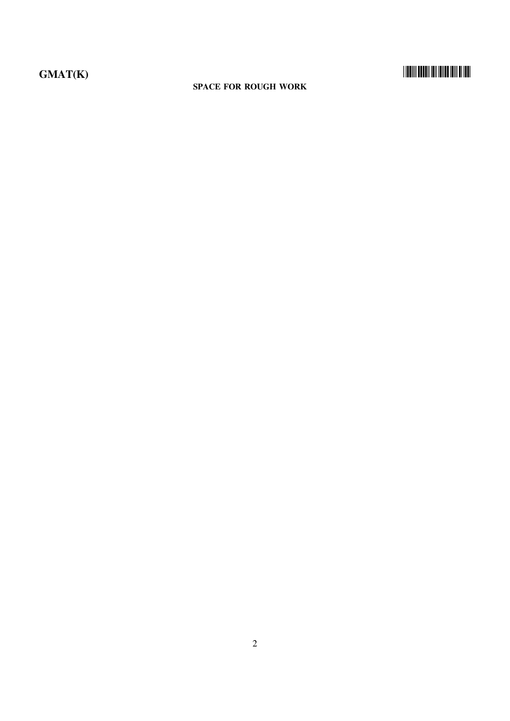#### **SPACE FOR ROUGH WORK**

#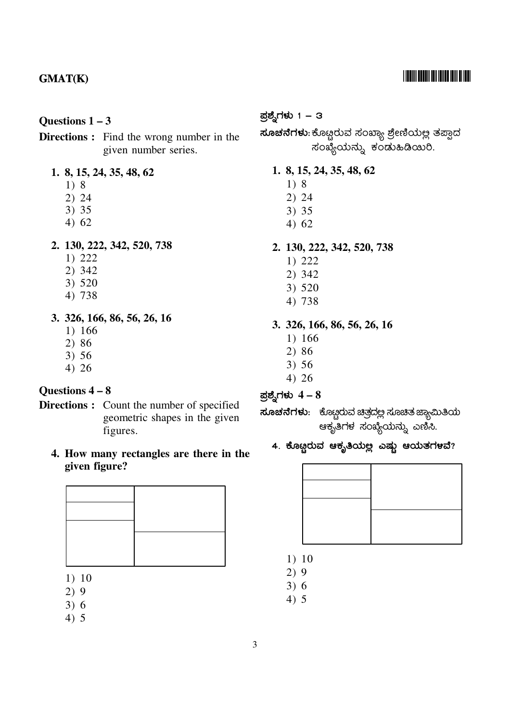#### <u> I Indiii Dhuhii idii idiin idiii di iddi</u>

#### Questions  $1 - 3$

#### **Directions :** Find the wrong number in the given number series.

#### 1. 8, 15, 24, 35, 48, 62

- $1)8$
- $2) 24$
- $3) 35$
- $4)62$

#### 2. 130, 222, 342, 520, 738

- $1) 222$
- 2) 342
- 3) 520
- 4) 738
- 3. 326, 166, 86, 56, 26, 16
	- 1) 166
	- $2)86$
	- $3) 56$
	- $4) 26$

#### Questions 4 - 8

- **Directions :** Count the number of specified geometric shapes in the given figures.
	- 4. How many rectangles are there in the given figure?

- $1) 10$
- $2)9$
- $3)6$
- $4) 5$

#### ಪ್ರಶ್ನೆಗಳು 1 – 3

**ಸೂಚನೆಗಳು**:ಕೊಟ್ಟರುವ ಸಂಖ್ಯಾ ಶ್ರೇಣಿಯಲ್ಲ ತಪ್ಪಾದ ಸಂಖ್ಯೆಯನ್ನು ಕಂಡುಹಿಡಿಯಿರಿ.

- 1. 8, 15, 24, 35, 48, 62
	- $1)8$
	- $2) 24$
	- $3)35$
	- $4)62$

#### 2. 130, 222, 342, 520, 738

- $1) 222$
- 2) 342
- $3) 520$
- 4) 738

#### 3. 326, 166, 86, 56, 26, 16

- 1) 166
- $2)86$
- $3) 56$
- $4)26$

ಪ್ರಶ್ನೆಗಳು  $4-8$ 

**ಸೂಚನೆಗಳು**: ಕೊಟ್ಟರುವ ಚಿತ್ರದಲ್ಲ ಸೂಚಿತ ಜ್ಯಾಮಿತಿಯ ಆಕೃತಿಗಳ ಸಂಖ್ಯೆಯನ್ನು ಎಣಿಸಿ.

### 4. ಕೊಟ್ಟರುವ ಆಕೃತಿಯಲ್ಲ ಎಷ್ಟು ಆಯತಗಳವೆ?



- $1) 10$
- $2)9$
- $3)6$
- $4) 5$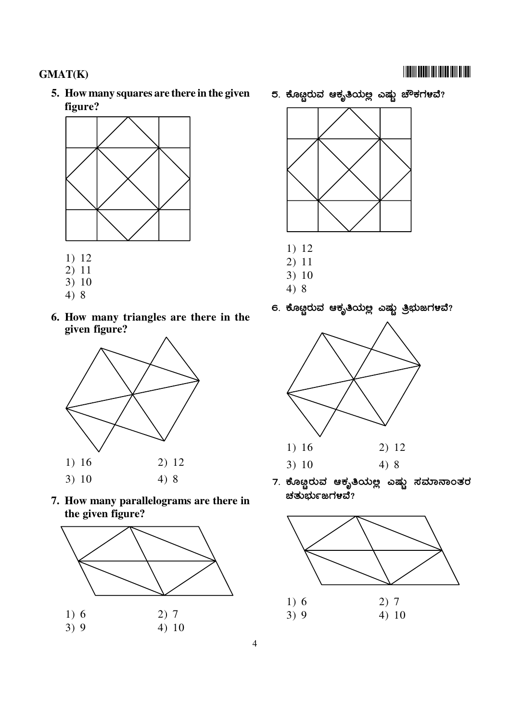### **TIONINI DOLDI INI DILLO DIN DI IDIL**

### **GMAT(K)**

5. How many squares are there in the given figure?



- $1) 12$
- $2) 11$
- $3) 10$
- $4)8$
- 6. How many triangles are there in the given figure?



7. How many parallelograms are there in the given figure?



5. ಕೊಟ್ಟರುವ ಆಕೃತಿಯಲ್ಲ ಎಷ್ಟು ಚೌಕಗಳವೆ?



- $1) 12$
- $2) 11$
- $3) 10$
- $4)8$
- 6. ಕೊಟ್ಟರುವ ಆಕೃತಿಯಲ್ಲ ಎಷ್ಟು ತ್ರಿಭುಜಗಳವೆ?



7. ಕೊಟ್ಟರುವ ಆಕೃತಿಯಲ್ಲ ಎಷ್ಟು ಸಮಾನಾಂತರ ಚತುರ್ಮಜಗಳವೆ?

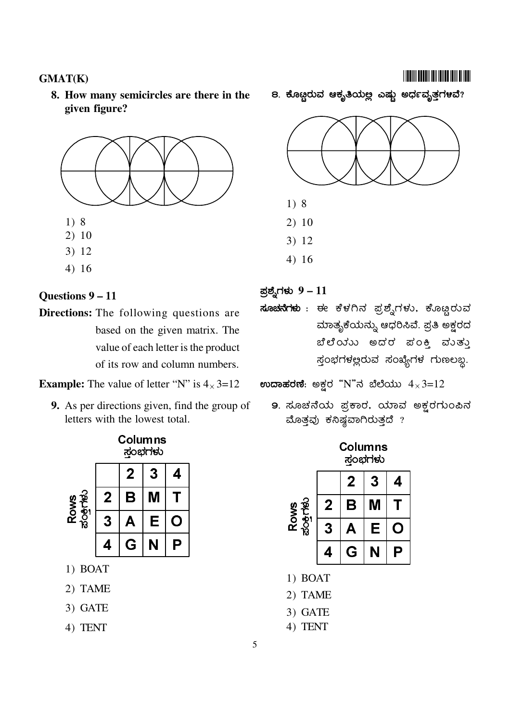#### **GMAT(K)**

8. How many semicircles are there in the given figure?



#### Questions 9 - 11

**Directions:** The following questions are based on the given matrix. The value of each letter is the product of its row and column numbers.

**Example:** The value of letter "N" is  $4 \times 3 = 12$ 

**9.** As per directions given, find the group of letters with the lowest total.



- 1) BOAT
- 2) TAME
- 3) GATE
- 4) TENT

8. ಕೊಟ್ಟರುವ ಆಕೃತಿಯಲ್ಲ ಎಷ್ಟು ಅರ್ಧವೃತ್ತಗಳವೆ?



#### ಪ್ರಶ್ನೆಗಳು  $9-11$

ಸೂಚನೆಗಳು : ಈ ಕೆಳಗಿನ ಪ್ರಶ್ನೆಗಳು, ಕೊಟ್ಟರುವ ಮಾತೃಕೆಯನ್ನು ಆಧರಿಸಿವೆ. ಪ್ರತಿ ಅಕ್ಷರದ ಬೆಲೆಯು ಅದರ ಪಂಕಿ ಮುತ್ತು ಸ್ತಂಭಗಳಲ್ಲರುವ ಸಂಖ್ಯೆಗಳ ಗುಣಲಬ್ದ.

ಉದಾಹರಣೆ: ಅಕ್ಷರ "N"ನ ಬೆಲೆಯು  $4 \times 3 = 12$ 

9. ಸೂಚನೆಯ ಪ್ರಕಾರ, ಯಾವ ಅಕ್ಷರಗುಂಪಿನ ಮೊತ್ತವು ಕನಿಷ್ಠವಾಗಿರುತ್ತದೆ ?

|             | 2 | 3 |                            |
|-------------|---|---|----------------------------|
| $\mathbf 2$ | В |   |                            |
| 3           |   | Е |                            |
|             | G |   |                            |
|             |   |   | <b>Columns</b><br>ಸ್ತಂಭಗಳು |

- 1) BOAT
- 2) TAME
- 3) GATE
- 4) TENT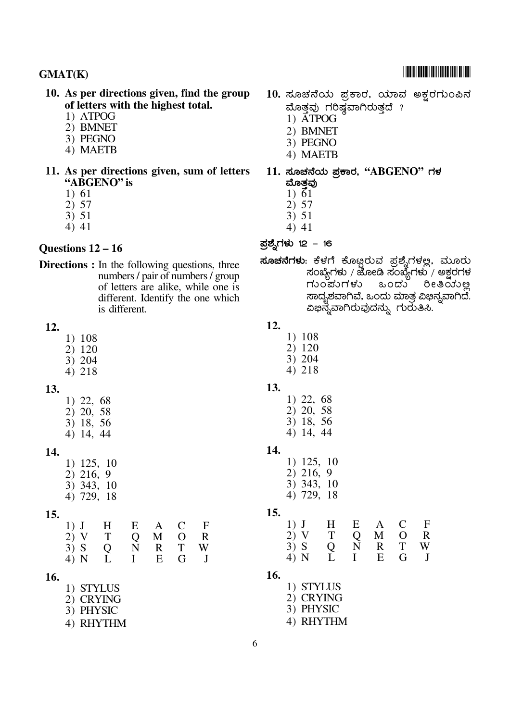- 10. As per directions given, find the group of letters with the highest total.
	- 1) ATPOG
	- 2) BMNET
	- 3) PEGNO
	- 4) MAETB
- 11. As per directions given, sum of letters "ABGENO" is
	- 1) 61
	- $2) 57$
	- $3) 51$
	- 4) 41

#### Questions  $12 - 16$

**Directions :** In the following questions, three numbers / pair of numbers / group of letters are alike, while one is different. Identify the one which is different.

#### 12.

- 1) 108
- 2) 120
- 3) 204 4) 218

#### 13.

- 1) 22, 68 2) 20, 58 3) 18, 56
- 4) 14, 44
- 14.

 $1)$  125, 10 2) 216, 9 3) 343, 10 4) 729, 18

#### $15.$

| $1)$ J | H            |   | $E \quad A$ | $C$ F |  |
|--------|--------------|---|-------------|-------|--|
| 2) V T |              | Q | M O R       |       |  |
| 3) S Q |              | N |             | R T W |  |
| 4) N   | $\mathbf{L}$ |   | $I$ E       | G J   |  |

#### 16.

- 1) STYLUS
- 2) CRYING
- 3) PHYSIC
- 4) RHYTHM
- 10. ಸೂಚನೆಯ ಪ್ರಕಾರ, ಯಾವ ಅಕ್ಷರಗುಂಪಿನ ಮೊತ್ತವು ಗರಿಷ್ಠವಾಗಿರುತ್ತದೆ ?
	- 1) ATPOG
	- 2) BMNET
	- 3) PEGNO
	- 4) MAETB
- $11.$  ಸೂಚನೆಯ ಪ್ರಕಾರ, " $\text{ABGENO}$ " ಗಳ ಮೊತವು
	- $1) \overline{6}1$
	- $2) 57$
	- $3) 51$
	- 4) 41
- ಪ್ರಶ್ನೆಗಳು 12 16

#### **ಸೂಚನೆಗಳು**: ಕೆಳಗೆ ಕೊಟ್ಟರುವ ಪ್ರಶ್ನೆಗಳಲ್ಲ. ಮೂರು ಸಂಖ್ಯೆಗಳು / ಜೋಡಿ ಸಂಖ್ಯೆಗಳು / ಅಕ್ಷರಗಳ ಒಂದು ರೀತಿಯಲ್ಲ ಗುಂಪುಗಳು ಸಾದೃಶವಾಗಿವೆ. ಒಂದು ಮಾತ್ರ ವಿಭಿನ್ನವಾಗಿದೆ. ವಿಭಿನ್ನವಾಗಿರುವುದನ್ನು ಗುರುತಿಸಿ.

- 12.
	- 1) 108
	- 2) 120 3) 204
	- 4) 218
- 13.
	- $1)$  22, 68 2) 20, 58
	- 3) 18, 56 4) 14, 44
- 14.

| 1) 125, | 10 |
|---------|----|
| 2) 216, | 9. |
| 3) 343, | 10 |
| 4) 729, | 18 |

#### 15.

| $1)$ J | $\overline{H}$ | E            | $\mathbf{A}$ | $\mathbf C$ | $\mathbf{F}$ |
|--------|----------------|--------------|--------------|-------------|--------------|
| 2) V   | T              | Q            |              | M O         | $\mathbb{R}$ |
| $3)$ S | Q              | $\mathbf N$  |              | R T         | W            |
| 4) N   | L              | $\mathbf{I}$ | $E_{\perp}$  | G J         |              |

16.

| 1) STYLUS |
|-----------|
| 2) CRYING |
| 3) PHYSIC |
| 4) RHYTHM |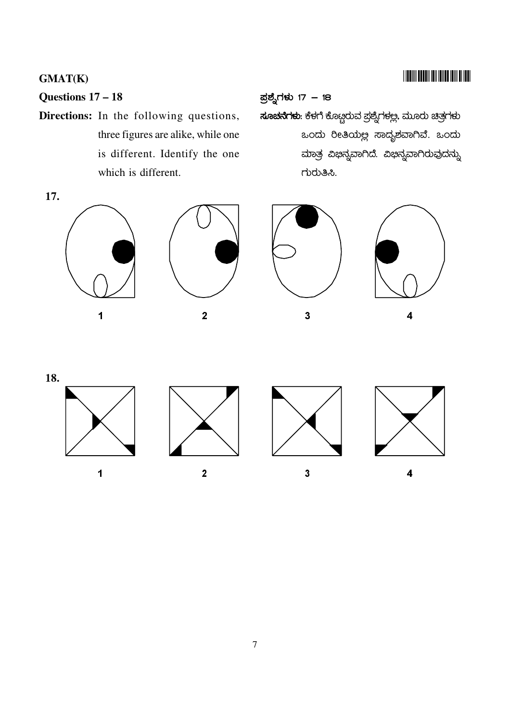### **TIONIN DOCUMENT IN THE TENT OF THE**

### **GMAT(K)**

### Questions  $17 - 18$

Directions: In the following questions, three figures are alike, while one is different. Identify the one which is different.

#### ಪ್ರಶ್ನೆಗಳು 17 – 18

<mark>ಸೂಚನೆಗಳು</mark>: ಕೆಳಗೆ ಕೊಟ್ಟರುವ ಪ್ರಶ್ನೆಗಳಲ್ಲ. ಮೂರು ಚಿತ್ರಗಳು ಒಂದು ರೀತಿಯಲ್ಲ ಸಾದೃಶವಾಗಿವೆ. ಒಂದು ಮಾತ್ರ ವಿಭಿನ್ನವಾಗಿದೆ. ವಿಭಿನ್ನವಾಗಿರುವುದನ್ನು ಗುರುತಿಸಿ.

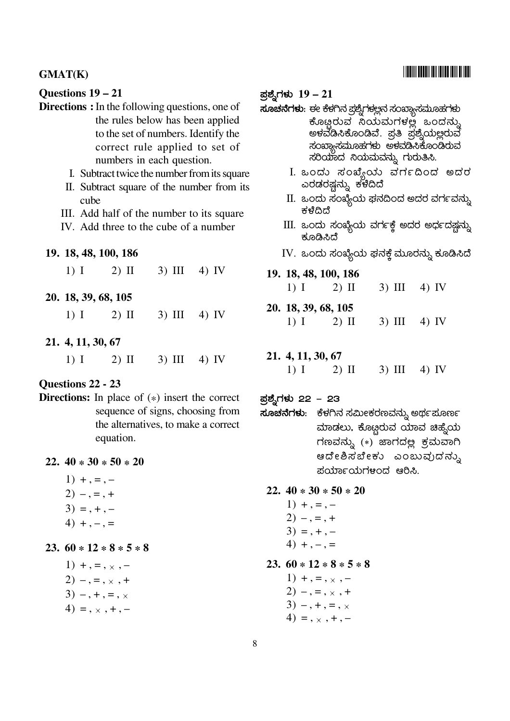#### **GMAT(K)**

#### Questions 19 - 21

- **Directions :** In the following questions, one of the rules below has been applied to the set of numbers. Identify the correct rule applied to set of numbers in each question.
	- I. Subtract twice the number from its square
	- II. Subtract square of the number from its cube
	- III. Add half of the number to its square
	- IV. Add three to the cube of a number

#### 19. 18, 48, 100, 186

- $3)$  III  $4)$  IV  $1)$  I  $2)$  II
- 20. 18, 39, 68, 105
	- $1)$  I  $2)$  II  $3)$  III  $4)$  IV
- 21. 4, 11, 30, 67
	- $1)$  I  $2)$  II  $3)$  III  $4)$  IV

#### Questions 22 - 23

**Directions:** In place of  $(*)$  insert the correct sequence of signs, choosing from the alternatives, to make a correct equation.

#### 22.  $40 * 30 * 50 * 20$

- $1) + 1 = 2) - 7 = 1 +$  $3) = + -$
- $4) + - =$

#### 23.  $60 * 12 * 8 * 5 * 8$

- 1) +, =,  $\times$ , - $2) - 1 = 1 \times 1 +$  $3) -1 + 1 = 1 \times$
- $4) = 1, 2, 3, 4, -$

#### ಪ್ರಶ್ನೆಗಳು  $19-21$

**ಸೂಚನೆಗಳು**: ಈ ಕೆಳಗಿನ ಪ್ರಶ್ನೆಗಳಲ್ಲನ ಸಂಖ್ಯಾಸಮೂಹಗಳು

- ಕೊೞ್ಷರುವ ನಿಯಮಗಳಲ್ಲೆ ಒಂದನ್ನು ಅಕವೆಡಿಸಿಕೊಂಡಿವೆ. ಪ್ರತಿ ಪ್ರಶ್ನೆಯ<u>ಅ</u>್ಲವ ಸಂಖ್ಯಾಸಮೂಹಗಳು ಅಕವಡಿಸಿಕೊಂಡಿರುವ ಸರಿಯಾದ ನಿಯಮವನ್ನು ಗುರುತಿಸಿ.
	- I. ಒಂದು ಸಂಖ್ಯೆಯ ವರ್ಗದಿಂದ ಅದರ ಎರಡರಷ್ಷನ್ನು ಕಳೆದಿದೆ
	- $\,$ II. ಒಂದು ಸಂಖ್ಯೆಯ ಘನದಿಂದ ಅದರ ವರ್ಗವನ್ನು ಕಳೆದಿದೆ
	- $\text{III.}$  ಒಂದು ಸಂಖ್ಯೆಯ ವರ್ಗಕ್ಕೆ ಅದರ ಅರ್ಧದಷ್ಟನ್ನು ಕೂಡಿಸಿದೆ
- IV. ಒಂದು ಸಂಖ್ಯೆಯ ಘನಕ್ತೆ ಮೂರನ್ನು ಕೂಡಿಸಿದೆ

#### 19. 18, 48, 100, 186

- $3)$  III  $1)$  I  $2)$  II 4) IV
- 20. 18, 39, 68, 105
	- $1)$  I  $2)$  II  $3)$  III  $4)$  IV

#### 21. 4, 11, 30, 67

 $1)$  I  $2)$  II  $3)$  III  $4)$  IV

#### ಪ್ರಶ್ನೆಗಳು 22 – 23

**ಸೂಚನೆಗಳು**: ಕೆಳಗಿನ ಸಮೀಕರಣವನ್ನು ಅರ್ಥಪೂರ್ಣ ಮಾಡಲು, ಕೊಟ್ಟರುವ ಯಾವ ಚಿಹ್ನೆಯ ಗಣವನ್ನು  $(*)$  ಜಾಗದಲ್ಲ ಕ್ರಮವಾಗಿ ಆದೇಶಿಸಬೇಕು ಎಂಬುವುದನ್ನು ಪರ್ಯಾಯಗಳಂದ ಆರಿಸಿ.

#### 22.  $40 * 30 * 50 * 20$

 $1) + , = , 2) - 7 = 1 +$  $3) = + (4) + (-1) =$ 

#### 23.  $60 * 12 * 8 * 5 * 8$

1)  $+$ , =,  $\times$ , - $2) - 1 = 1, 1, 1$  $3) -1, +1, = 1, \times$ 4) =  $, \times, +, -$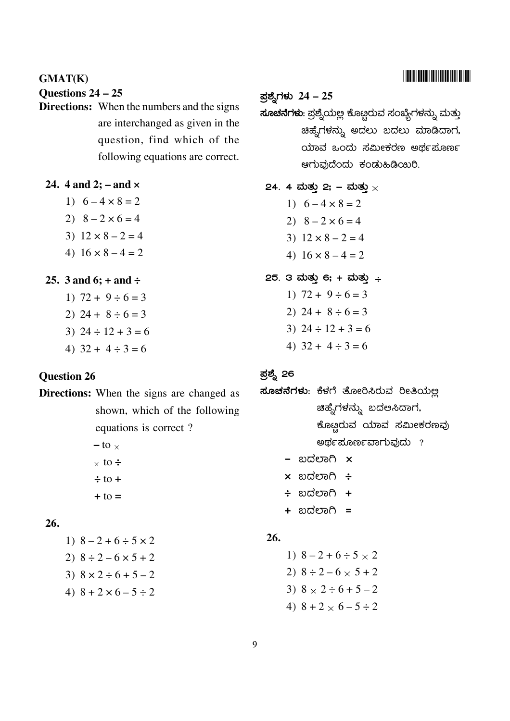### <u> I III III DEEDI III DIID IIII DIID</u>

**GMAT(K)** 

Questions  $24 - 25$ 

**Directions:** When the numbers and the signs are interchanged as given in the question, find which of the following equations are correct.

24. 4 and 2;  $-$  and  $\times$ 

- 1)  $6 4 \times 8 = 2$
- 2)  $8 2 \times 6 = 4$
- 3)  $12 \times 8 2 = 4$
- 4)  $16 \times 8 4 = 2$
- 25. 3 and 6;  $+$  and  $\div$ 
	- 1)  $72 + 9 \div 6 = 3$ 2)  $24 + 8 \div 6 = 3$ 3)  $24 \div 12 + 3 = 6$
	- 4)  $32 + 4 \div 3 = 6$

#### **Question 26**

**Directions:** When the signs are changed as shown, which of the following equations is correct?  $-$  to  $\times$ 

> $\times$  to  $\div$  $\div$  to +  $+ to =$

### $26.$

1)  $8 - 2 + 6 \div 5 \times 2$ 2)  $8 \div 2 - 6 \times 5 + 2$ 3)  $8 \times 2 \div 6 + 5 - 2$ 4)  $8 + 2 \times 6 - 5 \div 2$ 

#### ಪ್ರಶ್ನೆಗಳು 24 – 25

**ಸೂಚನೆಗಳು**: ಪ್ರಶ್ನೆಯಲ್ಲ ಕೊಟ್ಗರುವ ಸಂಖ್ಯೆಗಳನ್ನು ಮತ್ತು ಚಿಹ್ನೆಗಳನ್ನು ಅದಲು ಬದಲು ಮಾಡಿದಾಗ, ಯಾವ ಒಂದು ಸಮೀಕರಣ ಅರ್ಥಪೂರ್ಣ ಆಗುವುದೆಂದು ಕಂಡುಹಿಡಿಯಿರಿ.

- 24. 4 ಮತ್ತು 2; ಮತ್ತು  $\times$ 1)  $6 - 4 \times 8 = 2$ 2)  $8 - 2 \times 6 = 4$ 3)  $12 \times 8 - 2 = 4$ 4)  $16 \times 8 - 4 = 2$ 25. 3 ಮತ್ತು 6; + ಮತ್ತು ÷ 1)  $72 + 9 \div 6 = 3$ 
	- 2)  $24 + 8 \div 6 = 3$ 3)  $24 \div 12 + 3 = 6$
	- 4)  $32 + 4 \div 3 = 6$

#### ಪ್ರಶ್ನೆ 26

- ಸೂಚನೆಗಳು: ಕೆಳಗೆ ತೋರಿಸಿರುವ ರೀತಿಯಲ್ಲ ಚಿಹ್ನೆಗಳನ್ನು ಬದಲಸಿದಾಗ, ಕೊಟ್ಗರುವ ಯಾವ ಸಮೀಕರಣವು ಅರ್ಥಪೂರ್ಣವಾಗುವುದು ?
	- ಬದಲಾಗಿ **x**
	- $\times$  ಬದಲಾಗಿ ÷
	- ÷ ಬದಲಾಗಿ **+**
	- + ಬದಲಾಗಿ =

#### 26.

1)  $8 - 2 + 6 \div 5 \times 2$ 2)  $8 \div 2 - 6 \times 5 + 2$ 3)  $8 \times 2 \div 6 + 5 - 2$ 4)  $8 + 2 \times 6 - 5 \div 2$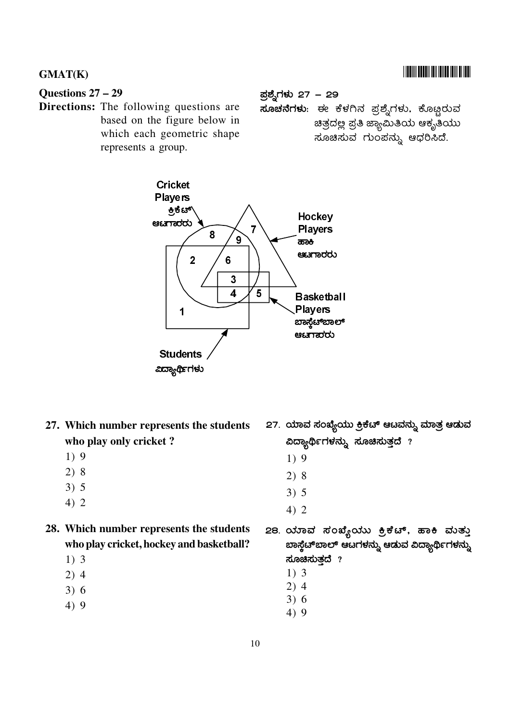#### Questions  $27 - 29$

Directions: The following questions are based on the figure below in which each geometric shape represents a group.

ಪ್ರಶ್ನೆಗಳು 27 – 29

<mark>ಸೂಚನೆಗಳು</mark>: ಈ ಕೆಳಗಿನ ಪ್ರಶ್ನೆಗಳು, ಕೊಟ್ಟರುವ ಚಿತ್ರದಲ್ಲ ಪ್ರತಿ ಜ್ಯಾಮಿತಿಯ ಆಕೃತಿಯ<mark>ು</mark> ಸೂಚಿಸುವ ಗುಂಪನ್ನು ಆಧರಿಸಿದೆ.



- 27. Which number represents the students who play only cricket?
	- $1)9$
	- $2)8$
	- $3) 5$
	- $4)2$
- 28. Which number represents the students who play cricket, hockey and basketball?
	- $1)$  3
	- $2)4$
	- $3)6$
	- $4)9$
- 27. ಯಾವ ಸಂಖ್ಯೆಯು ಕ್ರಿಕೆಟ್ ಆಟವನ್ನು ಮಾತ್ರ ಆಡುವ ವಿದ್ಯಾರ್ಥಿಗಳನ್ನು ಸೂಚಿಸುತ್ತದೆ ?
	- $1)9$
	- $2)8$
	- $3) 5$
	- $4) 2$
- 28. ಯಾವ ಸಂಖ್ಯೆಯು ಕ್ರಿಕೆಟ್, ಹಾಕಿ ಮತ್ತು ಬಾಸ್ಚೆಟ್ಐಾಲ್ ಆಟಗಳನ್ನು ಆಡುವ ವಿದ್ಯಾರ್ಥಿಗಳನ್ನು ಸೂಚಿಸುತದೆ  $?$ 
	- $1)$  3
	- $2)4$
	- $3)6$
	- $4)9$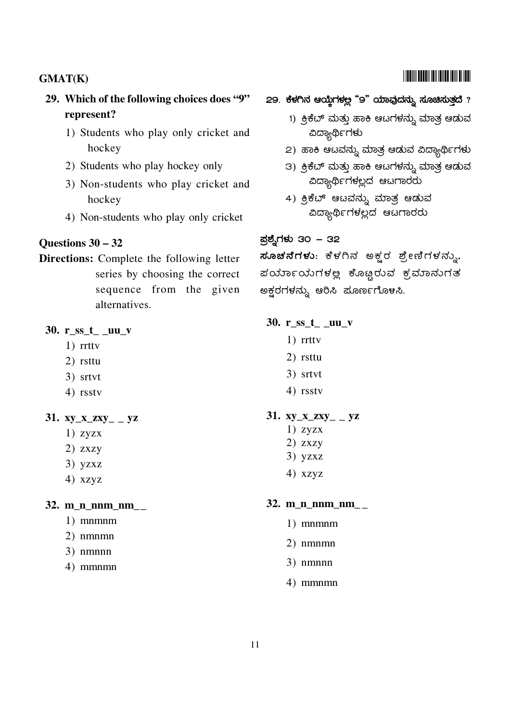### 29. Which of the following choices does "9" represent?

- 1) Students who play only cricket and hockey
- 2) Students who play hockey only
- 3) Non-students who play cricket and hockey
- 4) Non-students who play only cricket

#### Questions  $30 - 32$

**Directions:** Complete the following letter series by choosing the correct sequence from the given alternatives.

#### 30.  $r$ \_ss\_ $t$ \_\_uu\_v

- $1)$  rrtty
- 2) rsttu
- 3) srtvt
- 4) rsstv

#### 31. xy\_x\_zxy\_ \_ yz

- $1)$  zyzx
- $2)$  zxzy
- $3)$  yzxz
- 4) xzyz

#### 32.  $m_n$ n nm  $nm$

- $1)$  mnmnm
- 2) nmnmn
- $3)$  nmnnn
- 4) mmnmn

#### 29. ಕೆಳಗಿನ ಆಯ್ತೆಗಳ್ಲಲ "9" ಯಾವುದನ್ನು ಸೂಚಿಸುತ್ತದೆ ?

- 1) ಕ್ರಿಕೆಬ್ ಮತ್ತು ಹಾಕಿ ಆಟಗಳನ್ನು ಮಾತ್ರ ಆಡುವ ವಿದ್ಯಾರ್ಥಿಗಳು
- 2) ಹಾಕಿ ಆಟವನ್ನು ಮಾತ್ರ ಆಡುವ ವಿದ್ಯಾರ್ಥಿಗಳು
- 3) ಕ್ರಿಕೆಬ್ ಮತ್ತು ಹಾಕಿ ಆಟಗಳನ್ನು ಮಾತ್ರ ಆಡುವ ವಿದ್ಯಾರ್ಥಿಗಳಲ್ಲದ ಆಟಗಾರರು
- 4) ಕ್ರಿಕೆಬ್ ಆಟವನ್ನು ಮಾತ್ರ ಆಡುವ ವಿದ್ಯಾರ್ಥಿಗಳಲ್ಲದ ಆಟಗಾರರು

#### ಪ್ರಶ್ನೆಗಳು 30 – 32

ಸೂಚನೆಗಳು: ಕೆಳಗಿನ ಅಕ್ವರ ಶ್ರೇಣಿಗಳನ್ನು, ಪರ್ಯಾಯಗಳಲ್ಲ ಕೊಟ್ಟರುವ ಕ್ರಮಾನುಗತ ಅಕ್ಷರಗಳನ್ನು ಆರಿಸಿ ಪೂರ್ಣಗೊಳಸಿ.

#### 30. r\_ss\_t\_\_uu\_v

- $1)$  rrtty
- 2) rsttu
- 3) srtvt
- 4) rsstv

#### 31. xy x zxy  $-yz$

- $1)$  zyzx
- $2)$  zxzy
- $3)$  yzxz
- $4)$  xzyz

#### 32.  $m \underline{n}$  nnm  $nm$

- $1)$  mnmmm
- 2) nmnmn
- 3) nmnnn
- 4) mmnmn

### **TITULI TELEVISIO IN TELEVISIONI**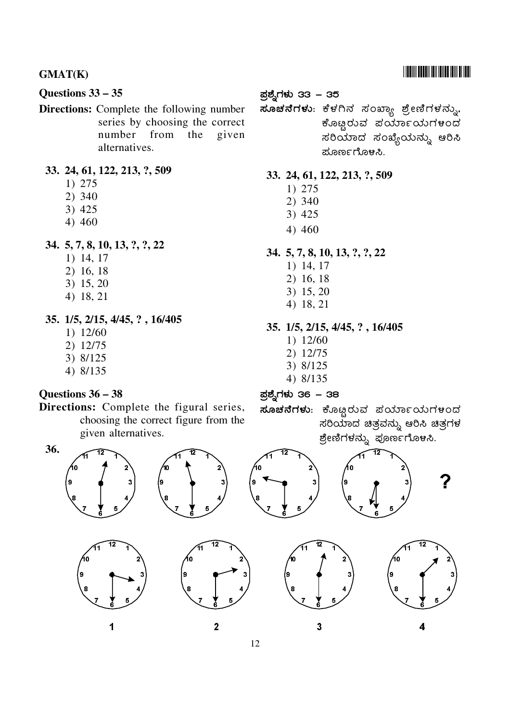#### **GMAT(K)**

#### Questions 33 - 35

**Directions:** Complete the following number series by choosing the correct number from the given alternatives.

#### 33. 24, 61, 122, 213, ?, 509

- 1) 275
- 2) 340
- 3) 425
- 4) 460

#### 34. 5, 7, 8, 10, 13, ?, ?, 22

- 1) 14, 17
- 2) 16, 18
- 3) 15, 20
- 4) 18, 21
- 35. 1/5, 2/15, 4/45, ?, 16/405
	- 1) 12/60
	- 2) 12/75
	- 3) 8/125
	- 4) 8/135

#### Questions  $36 - 38$

#### Directions: Complete the figural series, choosing the correct figure from the given alternatives.

#### 36.







 $\overline{2}$ 



ಪ್ರಶ್ನೆಗಳು 33 – 35

### ಕೊಟ್ಟರುವ ಪರ್ಯಾಯಗಳಂದ ಸರಿಯಾದ ಸಂಖ್ಯೆಯನ್ನು ಆರಿಸಿ ಮೂರ್ಣಗೊಳಸಿ.

#### 33. 24, 61, 122, 213, ?, 509

- 1) 275
- $2)340$
- 3) 425
- 4) 460

### 34. 5, 7, 8, 10, 13, ?, ?, 22

- 1) 14, 17
- 2) 16, 18
- 3) 15, 20
- 4) 18, 21

#### 35. 1/5, 2/15, 4/45, ?, 16/405

- $1) 12/60$
- 2) 12/75
- 3) 8/125
- 4) 8/135

ಪ್ರಶ್ನೆಗಳು 36 – 38

ಸೂಚನೆಗಳು: ಕೊಟ್ಟರುವ ಪರ್ಯಾಯಗಳಂದ ಸರಿಯಾದ ಚಿತ್ರವನ್ನು ಆರಿಸಿ ಚಿತ್ರಗಳ ಶ್ರೇಣಿಗಳನ್ನು ಪೂರ್ಣಗೊಳಸಿ.





 $\overline{\mathbf{3}}$ 

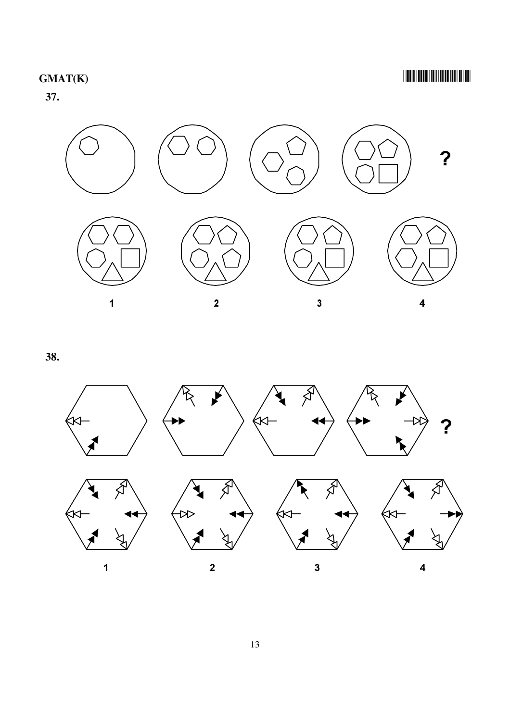$37.$ 

 $\overline{\mathbf{?}}$ 



 $\overline{\mathbf{2}}$ 



38.

 $\overline{\mathbf{1}}$ 



 $\overline{\mathbf{3}}$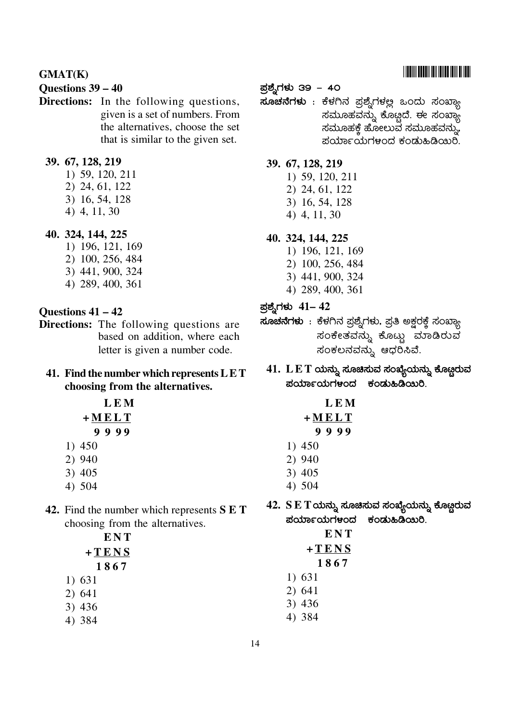#### Questions 39 – 40

Directions: In the following questions, given is a set of numbers. From the alternatives, choose the set that is similar to the given set.

#### 39. 67, 128, 219

- 1) 59, 120, 211
- 2) 24, 61, 122
- 3) 16, 54, 128
- 4) 4, 11, 30

#### 40. 324, 144, 225

- 1) 196, 121, 169
- 2) 100, 256, 484
- 3) 441, 900, 324 4) 289, 400, 361
- 

#### Questions  $41 - 42$

**Directions:** The following questions are based on addition, where each letter is given a number code.

#### 41. Find the number which represents  $LET$ choosing from the alternatives.

**LEM**  $+MELT$  $9999$ 

- 1) 450 2) 940
- $3)405$
- 4) 504
- 42. Find the number which represents S E T choosing from the alternatives.

**ENT**  $+TENS$ 1867  $1) 631$ 

- $2)641$
- $3)436$
- 4) 384

#### ಪ್ರಶ್ನೆಗಳು 39 – 40

**ಸೂಚನೆಗಳು** : ಕೆಳಗಿನ ಪ್ರಶ್ನೆಗಳಲ್ಲ ಒಂದು ಸಂಖ್ಯಾ ಸಮೂಹವನ್ನು ಕೊಟ್ಟಿದೆ. ಈ ಸಂಖ್ಯಾ ಸಮೂಹಕ್ತೆ ಹೋಲುವ ಸಮೂಹವನ್ನು, ಪರ್ಯಾಯಗಳಂದ ಕಂಡುಹಿಡಿಯಿರಿ.

#### 39. 67, 128, 219

- 1) 59, 120, 211
- 2) 24, 61, 122
- 3) 16, 54, 128
- 4) 4, 11, 30

### 40. 324, 144, 225

- 1) 196, 121, 169 2) 100, 256, 484
- 3) 441, 900, 324
- 4) 289, 400, 361
- ಪ್ರಶ್ನೆಗಳು 41– 42
- **ಸೂಚನೆಗಳು** : ಕೆಳಗಿನ ಪ್ರಶ್ನೆಗಳು, ಪ್ರತಿ ಅಕ್ಷರಕ್ತೆ ಸಂಖ್ಯಾ ಸಂಕೇತವನ್ನು ಕೊಟ್ಟು ಮಾಡಿರುವ ಸಂಕಲನವನ್ನು ಆಧರಿಸಿವೆ.
	- $41.$   $L E T \omega \omega$ ನ್ನು ಸೂಚಿಸುವ ಸಂಖ್ಯೆಯನ್ನು ಕೊಟ್ಟರುವ ಪರ್ಯಾಯಗಳಂದ ಕಂಡುಹಿಡಿಯಿರಿ.

|           |      | LEM |
|-----------|------|-----|
| + M E L T |      |     |
|           | 9999 |     |
|           |      |     |

- $1)450$
- 2) 940
- $3)405$
- 4) 504
- $42. \;{\rm S}\, {\rm E}\, {\rm T}$ ಯನ್ನು ಸೂಚಿಸುವ ಸಂಖ್ಯೆಯನ್ನು ಕೊಟ್ಟರುವ ಪರ್ಯಾಯಗಳಂದ ಕಂಡುಹಿಡಿಯಿರಿ.

| ENT    |
|--------|
| +TENS  |
| 1867   |
| 1) 631 |
| 2) 641 |
| 3) 436 |
| 4) 384 |

###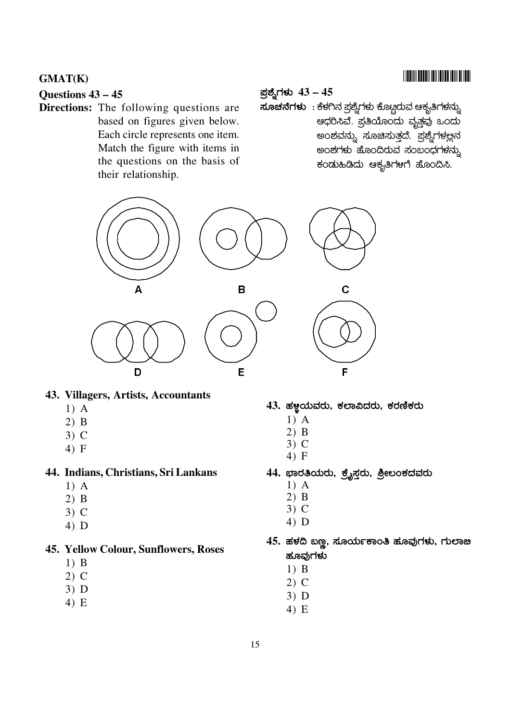### Questions  $43 - 45$

**Directions:** The following questions are based on figures given below. Each circle represents one item. Match the figure with items in the questions on the basis of their relationship.

#### ಪ್ರಶ್ನೆಗಳು  $43 - 45$

**ಸೂಚನೆಗಳು**: ಕೆಳಗಿನ ಪ್ರಶ್ನೆಗಳು ಕೊಟ್ಗರುವ ಆಕೃತಿಗಳನ್ನು ಆಧರಿಸಿವೆ. ಪ್ರತಿಯೊಂದು ವೃತ್ತವು ಒಂದು ಅಂಶವನ್ನು ಸೂಚಿಸುತ್ತದೆ. ಪ್ರಶ್ನೆಗಳಲ್ಲನ ಅಂಶಗಳು ಹೊಂದಿರುವ ಸಂಬಂಧಗಳನ್ನು ಕಂಡುಹಿಡಿದು ಆಕೃತಿಗಳಗೆ ಹೊಂದಿಸಿ.



#### 43. Villagers, Artists, Accountants

- $1)$  A
- $2)$  B
- $3)$  C
- $4) F$

#### 44. Indians, Christians, Sri Lankans

- $1)$  A
- $2)$  B
- $3)$  C
- $4)$  D

#### 45. Yellow Colour, Sunflowers, Roses

- $1)$  B
- $2)$  C
- $3)$  D
- $4) E$

#### 43. ಹಳ್ಣಯವರು, ಕಲಾವಿದರು, ಕರಣಿಕರು

- $1)$  A
- $2)$  B
- $3)$  C
- $4) F$
- 44. ಭಾರತಿಯರು, ಕ್ರೈಸ್ತರು, ಶ್ರೀಲಂಕದವರು
	- $1)$  A
	- $2)$  B
	- $3)$  C
	- $4)$  D
- 45. ಹಳದಿ ಬಣ್ಣ, ಸೂರ್ಯಕಾಂತಿ ಹೂವುಗಳು, ಗುಲಾಙ ಹೂವುಗಳು
	- $1)$  B
	- $2)$  C
	- $3)$  D
	- $4) E$

### **TITULI TETU ILI DILETTI DILEN**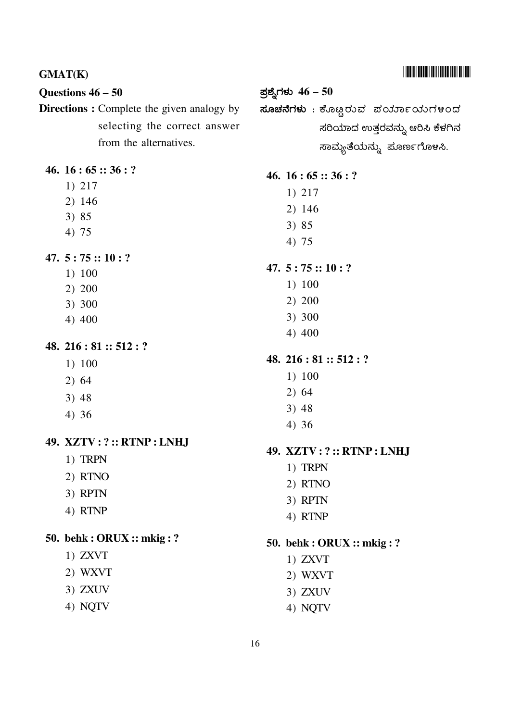# 47.  $5:75::10:?$  $1) 100$  $2) 200$

ಪ್ರಶ್ನೆಗಳು  $46-50$ 

 $46.16:65::36:?$ 

 $1) 217$ 

 $2)146$ 

 $3)85$ 

 $4)75$ 

ಸೂಚನೆಗಳು : ಕೊಟ್ಟರುವ ಪರ್ಯಾಯಗಳಂದ

ಸರಿಯಾದ ಉತ್ತರವನ್ನು ಆರಿಸಿ ಕೆಳಗಿನ

ಸಾಮ್ಯತೆಯನ್ನು ಪೂರ್ಣಗೊಳಸಿ.

- 
- 3) 300
- 4) 400

# 48. 216 : 81 ::  $512:$ ?

- $1) 100$
- $2)64$
- $3) 48$
- $4)36$

# 49. XZTV: ?:: RTNP: LNHJ

- 1) TRPN
- 2) RTNO
- 3) RPTN
- 4) RTNP

# 50. behk : ORUX :: mkig : ?

- $1)$  ZXVT
- 2) WXVT
- 3) ZXUV
- 4) NQTV

# 

Questions  $46 - 50$ Directions : Complete the given analogy by selecting the correct answer from the alternatives.

### 46.  $16:65::36:?$

 $1) 217$ 

**GMAT(K)** 

- 2) 146
- 3) 85
- 4) 75

47.  $5:75::10:?$ 

- $1) 100$
- $2) 200$
- 3) 300
- 4) 400

48. 216 : 81 :: 512 : ?

- $1) 100$
- $2) 64$
- $3) 48$
- $4)36$

### 49. XZTV: ?:: RTNP: LNHJ

- 1) TRPN
- 2) RTNO
- 3) RPTN
- 4) RTNP

50. behk : ORUX :: mkig : ?

- $1)$  ZXVT
- 2) WXVT
- $3)$  ZXUV
- 4) NQTV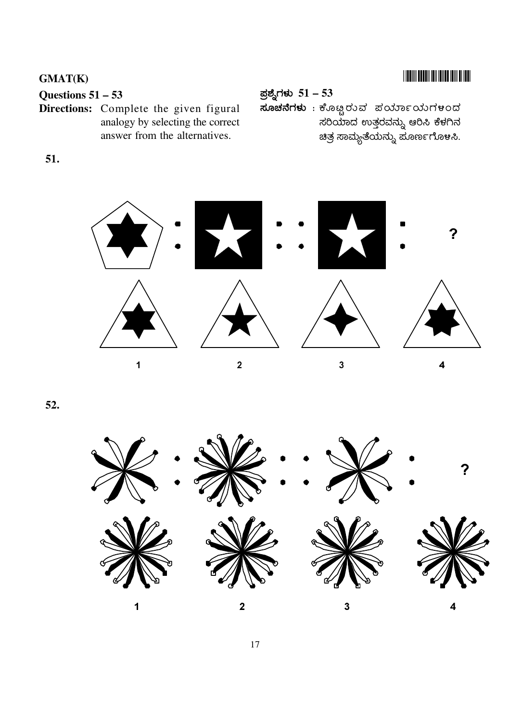### Questions  $51 - 53$

Directions: Complete the given figural analogy by selecting the correct answer from the alternatives.

ಪ್ರಶ್ನೆಗಳು  $51 - 53$ 

.<br>ಸೂಚನೆಗಳು : ಕೊಟ್ಟರುವ ಪರ್ಯಾಯಗಳಂದ ಸರಿಯಾದ ಉತ್ತರವನ್ನು ಆರಿಸಿ ಕೆಳಗಿನ ಚಿತ್ರ ಸಾಮ್ಯತೆಯನ್ನು ಪೂರ್ಣಗೊಳಸಿ.

51.



52.

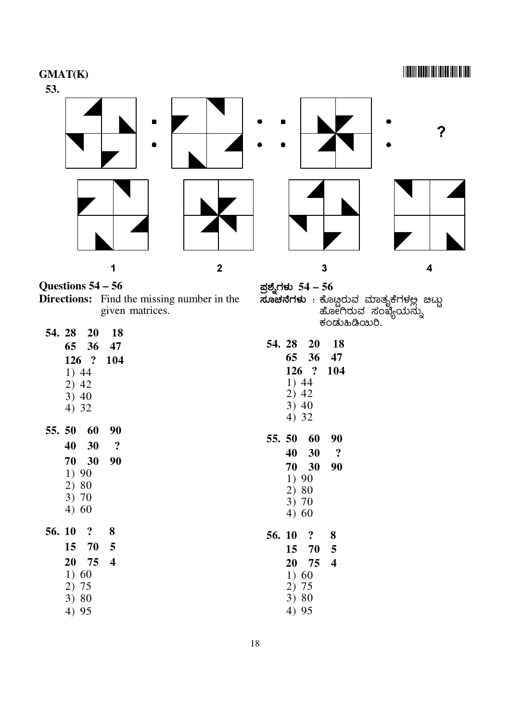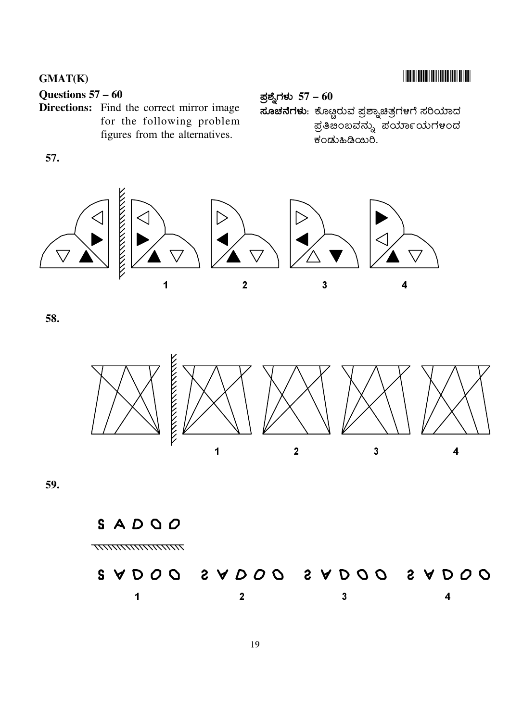### **TITULI TETU ILI DILETTI DILEN**

### **GMAT(K)**

### Questions  $57 - 60$

Directions: Find the correct mirror image for the following problem figures from the alternatives.

ಪ್ರಶ್ನೆಗಳು  $57 - 60$ **ಸೂಚನೆಗಳು**: ಕೊಟ್ಟರುವ ಪ್ರಶ್ನಾಚಿತ್ರಗಳಗೆ ಸರಿಯಾದ ಪ್ರತಿಪಂಬವನ್ನು ಪರ್ಯಾಯಗ**೪ಂ**ದ ಕಂಡುಹಿಡಿಯಿರಿ.

57.



58.



59.

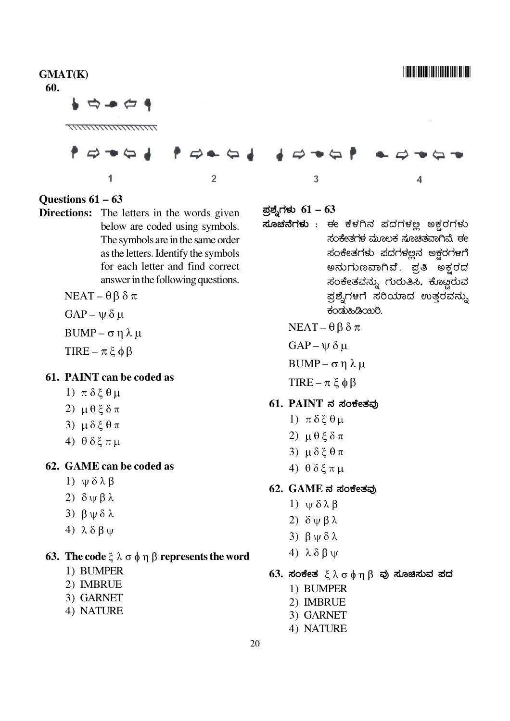| <b>GMAT(K)</b><br>60.                                     |                                                                                                               |                                                                  |                                  |                                                                                          |
|-----------------------------------------------------------|---------------------------------------------------------------------------------------------------------------|------------------------------------------------------------------|----------------------------------|------------------------------------------------------------------------------------------|
| $\Rightarrow -$                                           |                                                                                                               |                                                                  |                                  |                                                                                          |
|                                                           |                                                                                                               |                                                                  |                                  |                                                                                          |
|                                                           |                                                                                                               |                                                                  |                                  |                                                                                          |
|                                                           |                                                                                                               |                                                                  |                                  |                                                                                          |
|                                                           | 2                                                                                                             | 3                                                                |                                  |                                                                                          |
| Questions $61 - 63$                                       | Directions: The letters in the words given<br>below are coded using symbols.                                  | ಪ್ರಶ್ನೆಗಳು $61-63$                                               |                                  | <b>ಸೂಚನೆಗಳು</b> : ಈ ಕೆಳಗಿನ ಪದಗಳಲ್ಲ ಅಕ್ಷರಗಳು                                              |
|                                                           | The symbols are in the same order<br>as the letters. Identify the symbols<br>for each letter and find correct |                                                                  |                                  | ಸಂಕೇತಗಳ ಮೂಲಕ ಸೂಚಿತವಾಗಿವೆ. ಈ<br>ಸಂಕೇತಗಳು ಪದಗಳಲ್ಲನ ಅಕ್ಷರಗಳಗೆ<br>ಅನುಗುಣವಾಗಿವೆ. ಪ್ರತಿ ಅಕ್ಷರದ |
| $NEAT - \theta \beta \delta \pi$                          | answer in the following questions.                                                                            |                                                                  |                                  | ಸಂಕೇತವನ್ನು ಗುರುತಿಸಿ. ಕೊಟ್ಟರುವ<br>ಪ್ರಶ್ನೆಗಳಗೆ ಸರಿಯಾದ ಉತ್ತರವನ್ನು                           |
| $GAP - \psi \delta \mu$                                   |                                                                                                               |                                                                  | ಕಂಡುಹಿಡಿಯಿರಿ.                    |                                                                                          |
| BUMP – $\sigma$ η λ μ                                     |                                                                                                               |                                                                  | $NEAT - \theta \beta \delta \pi$ |                                                                                          |
| TIRE – $\pi \xi \phi \beta$                               |                                                                                                               | $GAP - \psi \delta \mu$                                          |                                  |                                                                                          |
|                                                           |                                                                                                               |                                                                  | BUMP – $\sigma$ η λ μ            |                                                                                          |
| 61. PAINT can be coded as<br>1) $\pi \delta \xi \theta$ μ |                                                                                                               |                                                                  | TIRE – $\pi \xi \phi \beta$      |                                                                                          |
| 2) $\mu$ θξδπ                                             |                                                                                                               |                                                                  | $61.$ PAINT ನ ಸಂಕೇತವು            |                                                                                          |
| 3) $\mu \delta \xi \theta \pi$                            |                                                                                                               | 1) $\pi \delta \xi \theta \mu$                                   |                                  |                                                                                          |
| 4) $\theta \delta \xi \pi \mu$                            |                                                                                                               | 2) $\mu \theta \xi \delta \pi$                                   |                                  |                                                                                          |
| 62. GAME can be coded as                                  |                                                                                                               | 3) $\mu \delta \xi \theta \pi$<br>4) $\theta \delta \xi \pi \mu$ |                                  |                                                                                          |
| 1) $\psi \delta \lambda \beta$                            |                                                                                                               |                                                                  | $62.$ $GAME$ ನ ಸಂಕೇತವು           |                                                                                          |
| 2) $\delta \psi \beta \lambda$                            |                                                                                                               | 1) $\psi \delta \lambda \beta$                                   |                                  |                                                                                          |
| 3) $\beta \psi \delta \lambda$                            |                                                                                                               | 2) $\delta \psi \beta \lambda$                                   |                                  |                                                                                          |
| 4) $\lambda \delta \beta \psi$                            |                                                                                                               | 3) $β$ $ψ$ $δ$ $λ$                                               |                                  |                                                                                          |

### **63.** The code ξ  $\lambda$  σ  $\phi$  η β represents the word

- 1) BUMPER
- 2) IMBRUE
- 3) GARNET
- 4) NATURE

4)  $\lambda \delta \beta \psi$ 

1) BUMPER

2) IMBRUE

3) GARNET 4) NATURE

63. ಸಂಕೇತ  $\xi \lambda \sigma \phi \eta \beta$  ಪು ಸೂಚಿಸುವ ಪದ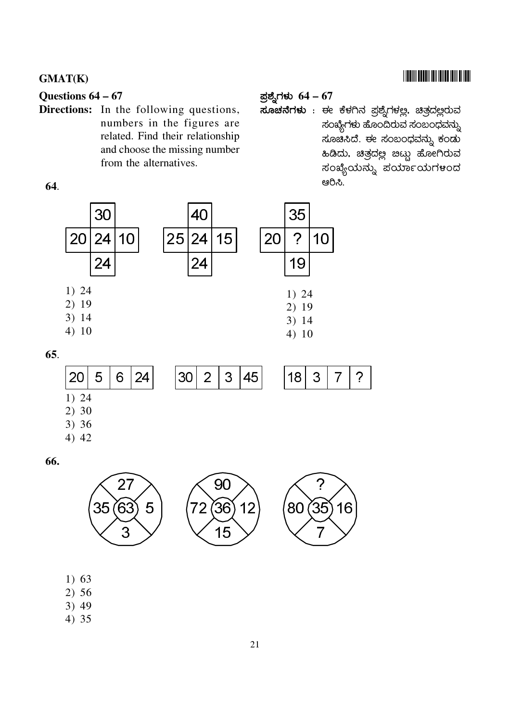### **THE REAL PROPERTY OF A REAL PROPERTY**

#### GMAT(K)

#### Questions  $64 - 67$

Directions: In the following questions, numbers in the figures are related. Find their relationship and choose the missing number from the alternatives.

### ಪ್ರಶ್ನೆಗಳು  $64-67$

ಸೂಚನೆಗಳು : ಈ ಕೆಳಗಿನ ಪ್ರಶ್ನೆಗಳಲ್ಲ. ಚಿತ್ರದಲ್ಲರುವ ಸಂಖ್ಯೆಗಳು ಹೊಂದಿರುವ ಸಂಬಂಧವನ್ನು ಸೂಚಿಸಿದೆ. ಈ ಸಂಬಂಧವನ್ನು ಕಂಡು ಸಂಖ್ಯೆಯನ್ನು ಪರ್ಯಾಯಗಳಂದ ಆರಿಸಿ.

64.



| 1) 24                   |  |  |
|-------------------------|--|--|
|                         |  |  |
|                         |  |  |
| 2) 30<br>3) 36<br>4) 42 |  |  |

66.



- $1) 63$
- 2) 56
- $3)49$
- 4) 35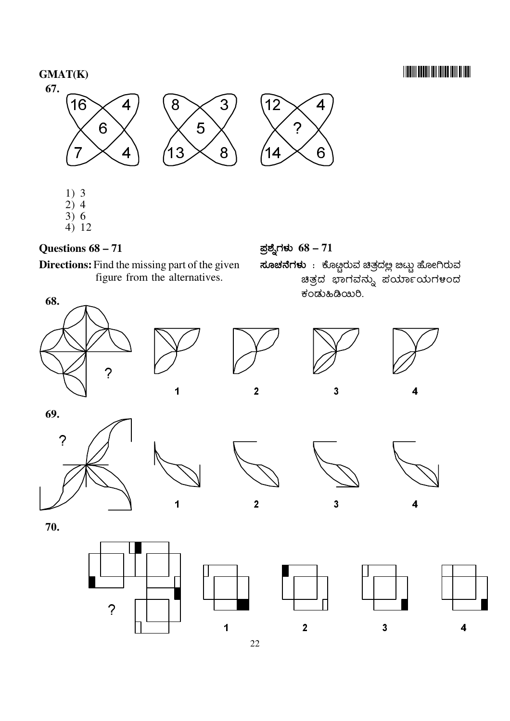## **TIONINI DOLDI INI DILLO DIN DI IDIL**



- $1)3$  $\begin{array}{c}\n2 \stackrel{\smash{1}}{0} & 4 \\
3 \stackrel{\smash{1}}{0} & 6\n\end{array}$
- $4) 12$

### Questions  $68 - 71$

Directions: Find the missing part of the given figure from the alternatives.

ಪ್ರಶ್ನೆಗಳು  $68 - 71$ 

**ಸೂಚನೆಗಳು** : ಕೊಟ್ಟರುವ ಚಿತ್ರದಲ್ಲ ಬಟ್ಟು ಹೋಗಿರುವ ಚಿತ್ರದ ಭಾಗವನ್ನು ಪರ್ಯಾಯಗಳಂದ ಕಂಡುಹಿಡಿಯಿರಿ.









4

69.  $\overline{?}$ 



 $\overline{2}$ 

 $\overline{\mathbf{3}}$ 



70.



 $\overline{1}$ 

 $\overline{1}$ 







22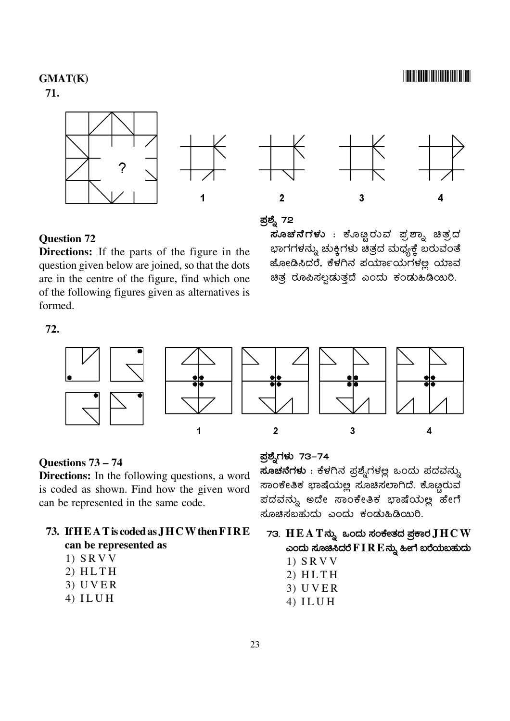### <u> I III III DEEDI III DIID IIII DIID</u>

### **GMAT(K)**

71.





### **Question 72**

**Directions:** If the parts of the figure in the question given below are joined, so that the dots are in the centre of the figure, find which one of the following figures given as alternatives is formed.

### ಪ್ರಶ್ನೆ 72

ಸೂಚನೆಗಳು : ಕೊಟ್ಟರುವ ಪ್ರಶ್ನಾ ಚಿತ್ರದ ಭಾಗಗಳನ್ನು ಚುಕ್<mark>ಿ</mark>ಗಳು ಚಿತ್ರದ ಮಧ್ಯಕ್<mark>ಕೆ</mark> ಬರುವಂತೆ ಜೋಡಿಸಿದರೆ, ಕೆಳಗಿನ ಪರ್ಯಾಯಗಳಲ್ಲ ಯಾವ ಚಿತ್ರ ರೂಪಿಸಲ್ಪಡುತ್ತದೆ ಎಂದು ಕಂಡುಹಿಡಿಯಿರಿ.

72.



#### Questions  $73 - 74$

**Directions:** In the following questions, a word is coded as shown. Find how the given word can be represented in the same code.

#### 73. If HEAT is coded as JHCW then FIRE can be represented as

- $1)$  SRVV
- $2) HLTH$
- $3)$  UVER
- $4) ILUH$

ಪ್ರಶ್ನೆಗಳು 73–74

ಸೂಚನೆಗಳು : ಕೆಳಗಿನ ಪ್ರಶ್ನೆಗಳಲ್ಲ ಒಂದು ಪದವನ್ನು ಸಾಂಕೇತಿಕ ಭಾಷೆಯಲ್ಲ ಸೂಚಿಸಲಾಗಿದೆ. ಕೊಟ್ಟರುವ ಪದವನ್ನು ಅದೇ ಸಾಂಕೇತಿಕ ಭಾಷೆಯಲ್ಲ ಹೇಗೆ ಸೂಚಿಸಬಹುದು ಎಂದು ಕಂಡುಹಿಡಿಯಿರಿ.

- 73.  $H E A T \vec{\omega}$ ನು ಒಂದು ಸಂಕೇತದ ಪ್ರಕಾರ  $J H C W$ ಎಂದು ಸೂಚಿಸಿದರೆ $\mathbf{F}$   $\mathbf{I}$   $\mathbf{R}$   $\mathbf{E}$ ನ್ನು ಹೀಗೆ ಬರೆಯಬಹುದು
	- $1)$  SRVV
	- $2) HLTH$
	- $3)$  UVER
	- $4)$  ILUH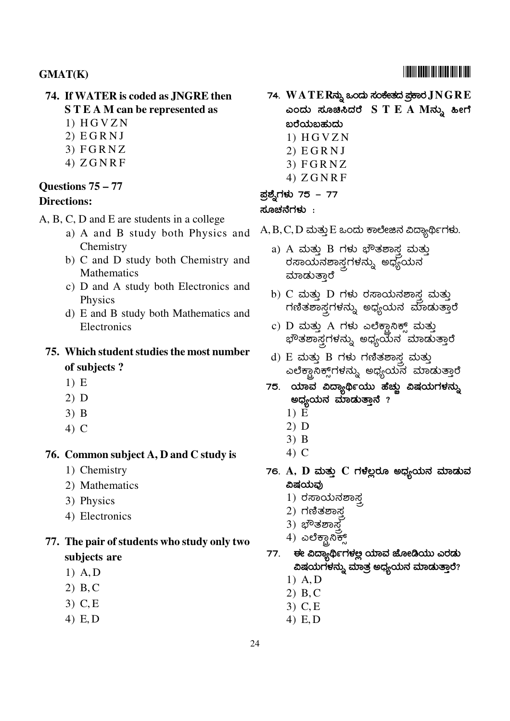### **GMAT(K)**

#### 74. If WATER is coded as JNGRE then **STEAM** can be represented as

- $1) HGVZN$
- $2) EGRNJ$
- $3)$  FGRNZ
- $4) ZGNRF$

#### Ouestions  $75 - 77$

#### **Directions:**

- A, B, C, D and E are students in a college
	- a) A and B study both Physics and Chemistry
	- b) C and D study both Chemistry and Mathematics
	- c) D and A study both Electronics and **Physics**
	- d) E and B study both Mathematics and Electronics

### 75. Which student studies the most number of subjects?

- $1) E$
- $2)$  D
- $3)$  B
- $4)$  C

#### 76. Common subject A, D and C study is

- 1) Chemistry
- 2) Mathematics
- 3) Physics
- 4) Electronics
- 77. The pair of students who study only two subjects are
	- $1)$  A, D
	- $2) B, C$
	- $3)$  C, E
	- 4)  $E, D$

74. WATERನ್ನು ಒಂದು ಸಂಕೇತದ ಪ್ರಕಾರ $\bf JNGRE$ ಎಂದು ಸೂಚಿಸಿದರೆ  $S T E A M \vec{\omega}$ ್ನು ಹೀಗೆ ಖರೆಯಬಹುದು  $1) HGVZN$ 

- $2) EGRNJ$
- $3)$  FGRNZ
- $4) ZGNRF$

#### ಪ್ರಶ್ನೆಗಳು 75 – 77

#### ಸೂಚನೆಗಳು :

- $\rm A, B, C, D$  ಮತ್ತು $\rm E$  ಒಂದು ಕಾಲೇಜಿನ ವಿದ್ಯಾರ್ಥಿಗಳು.
	- a) A ಮತ್ತು B ಗಳು ಭೌತಶಾಸ್ತ್ರ ಮತ್ತು ರಸಾಯನಶಾಸ್ತ್ರಗಳನ್ನು ಅಧ್ಯಯನ ಮಾಡುತ್ತಾರೆ
	- b)  $C$  ಮತ್ತು  $D$  ಗಳು ರಸಾಯನಶಾಸ್ತ್ರ ಮತ್ತು ಗಣಿತಶಾಸ್ತ್ರಗಳನ್ನು ಅಧ್ಯಯನ ಮಾಡುತ್ತಾರೆ
	- c)  $D$  ಮತ್ತು  $A$  ಗಳು ಎಲೆಕ್ಟಾನಿಕ್ಸ್ ಮತ್ತು *ಭೌ*ತಶಾಸ್ತ್ರಗಳನ್ನು ಅಧ್ಯಯನ<sup>್</sup>ಮಾಡುತ್ತಾರೆ
	- d)  $E$  ಮತ್ತು  $B$  ಗಳು ಗಣಿತಶಾಸ್ತ್ರ ಮತ್ತು ಎಲೆಕ್ಟಾನಿಕ್ಸ್ಗಳನ್ನು ಅಧ್ಯಯನ ಮಾಡುತ್ತಾರೆ
	- 75. ಯಾವ ವಿದ್ಯಾರ್ಥಿಯು ಹೆಚ್ಚು ವಿಷಯಗಳನ್ನು ಅಧ್ಯಯನ ಮಾಡುತ್ತಾನೆ ?
		- $1) \tilde{E}$
		- $2)$  D
		- $3)$  B
		- 4) C
	- 76.  $A$ ,  $D$  ಮತ್ತು  $C$  ಗಳೆಲ್ಲರೂ ಅಧ್ಯಯನ ಮಾಡುವ ವಿಷಯವು
		- $1)$  ರಸಾಯನಶಾಸ್ತ
		- 2) ಗಣಿತಶಾಸ್ತ
		- 3) ಭೌತಶಾಸ್ತ
		- $\left(4\right)$  ಎಲೆಕ್ಟಾನಿಕ್ಸ್
	- ಈ ವಿದ್ಯಾರ್ಥಿಗಳಲ್ಲ ಯಾವ ಜೋಡಿಯು ಎರಡು 77. ವಿಷಯಗಳನ್ನು ಮಾತ್ರ ಅಧ್ಯಯನ ಮಾಡುತ್ತಾರೆ?
		- $1)$  A, D
		- $2)$  B, C
		- $3)$  C, E
		- 4)  $E, D$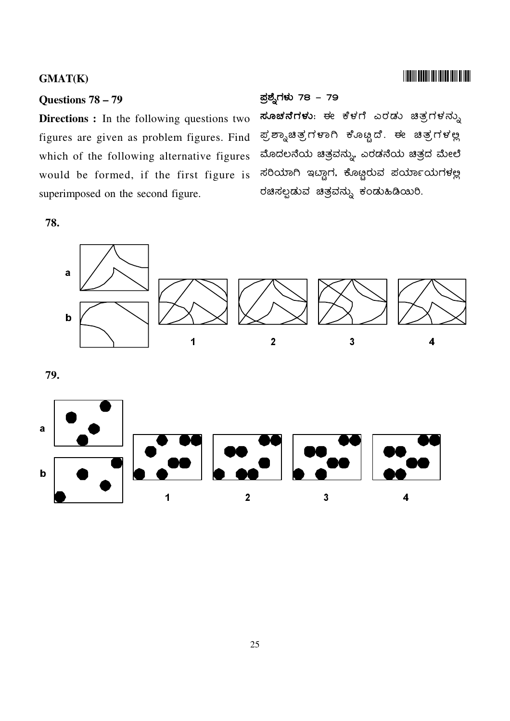#### Questions 78 - 79

**Directions :** In the following questions two figures are given as problem figures. Find which of the following alternative figures would be formed, if the first figure is superimposed on the second figure.

78.

#### ಪ್ರಶ್ನೆಗಳು 78 – 79

ಸೂಚನೆಗಳು: ಈ ಕೆಳಗೆ ಎರಡು ಚಿತ್ರಗಳನ್ನು ಪ್ರಶ್ನಾಚಿತ್ರಗಳಾಗಿ ಕೊೞ್ಟದೆ. ಈ ಚಿತ್ರಗಳಲ್ಲ ಮೊದಲನೆಯ ಚಿತ್ರವನ್ನು, ಎರಡನೆಯ ಚಿತ್ರದ ಮೇಲೆ ಸರಿಯಾಗಿ ಇದ್ದಾಗ, ಕೊಟ್ಲರುವ ಪರ್ಯಾಯಗಳಲ್ಲ ರಚಿಸಲ್ಪಡುವ ಚಿತ್ರವನ್ನು ಕಂಡುಹಿಡಿಯಿರಿ.

**TITULI TELEVISIOO IN ANDE** 



79.

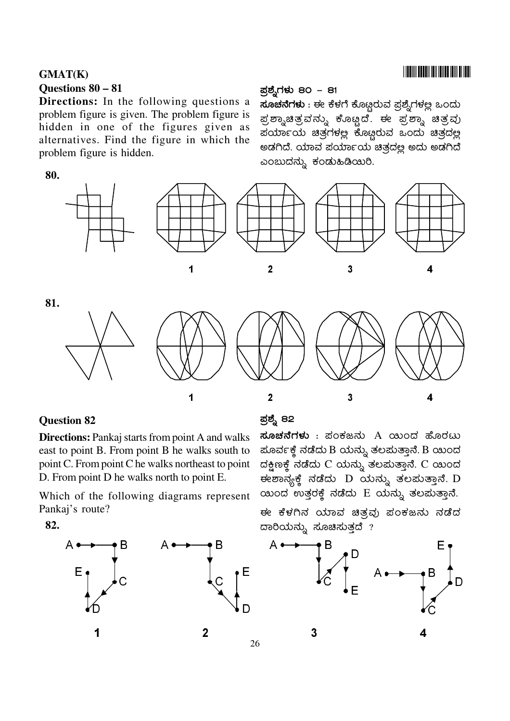### **GMAT(K)** Questions 80 - 81

**Directions:** In the following questions a problem figure is given. The problem figure is hidden in one of the figures given as alternatives. Find the figure in which the problem figure is hidden.

### ಪ್ರಶ್ನೆಗಳು 80 – 81

ಸೂಚನೆಗಳು : ಈ ಕೆಳಗೆ ಕೊಟ್ಟರುವ ಪ್ರಶ್ನೆಗಳಲ್ಲ ಒಂದು ಪ್ರಶ್ನಾಚಿತ್ರವನ್ನು ಕೊಟ್ಟದೆ. ಈ ಪ್ರಶ್ನಾ ಚಿತ್ರವು ಪರ್ಯಾಯ ಚಿತ್ರಗಳಲ್ಲ ಕೊಟ್ಟರುವ ಒಂದು ಚಿತ್ರದಲ್ಲ ಅಡಗಿದೆ. ಯಾವ ಪರ್ಯಾಯ ಚಿತ್ರದಲ್ಲ ಅದು ಅಡಗಿದೆ ಎಂಬುದನ್ನು ಕಂಡುಹಿಡಿಯಿರಿ.











81.



### **Question 82**

**Directions:** Pankaj starts from point A and walks east to point B. From point B he walks south to point C. From point C he walks northeast to point D. From point D he walks north to point E.

Which of the following diagrams represent Pankaj's route?

82.



### ಪ್ರಶ್ನೆ 82

ಸೂಚನೆಗಳು : ಪಂಕಜನು A ಯಂದ ಹೊರಟು ಪೂರ್ವಕ್ಕೆ ನಡೆದು B ಯನ್ನು ತಲಪುತ್ತಾನೆ. B ಯಿಂದ ದಕ್ಷಿಣಕ್ಕೆ ನಡೆದು C ಯನ್ನು ತಲಪುತ್ತಾನೆ. C ಯಂದ ಈಶಾನ್ಯಕ್ಕೆ ನಡೆದು D ಯನ್ನು ತಲಪುತ್ತಾನೆ. D ಯಂದ<sup>o</sup>ಉತ್ತರಕ್ಕೆ ನಡೆದು E ಯನ್ನು ತಲಮತ್ತಾನೆ.

ಈ ಕೆಳಗಿನ ಯಾವ ಚಿತ್ರವು ಪಂಕಜನು ನಡೆದ ದಾರಿಯನ್ನು ಸೂಚಿಸುತ್ತದೆ ?



26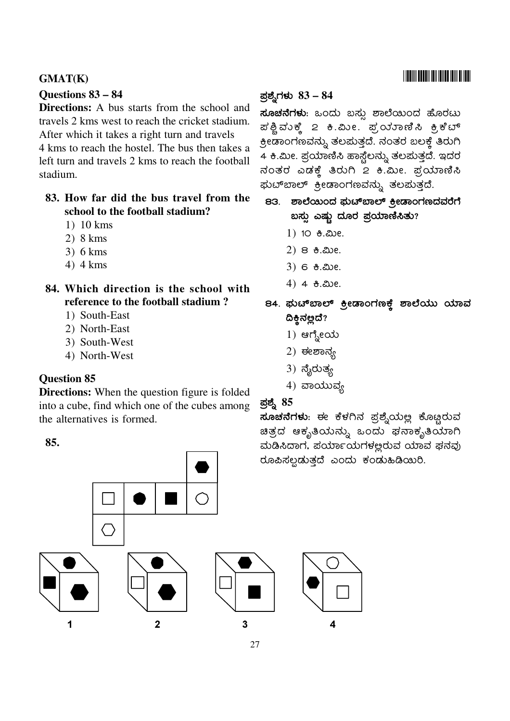### **GMAT(K)**

#### Questions 83 – 84

Directions: A bus starts from the school and travels 2 kms west to reach the cricket stadium. After which it takes a right turn and travels 4 kms to reach the hostel. The bus then takes a left turn and travels 2 kms to reach the football stadium.

### 83. How far did the bus travel from the school to the football stadium?

- $1)$  10 kms
- $2)8 km s$
- $3)$  6 kms
- $4)$  4 kms
- 84. Which direction is the school with reference to the football stadium?
	- 1) South-East
	- 2) North-East
	- 3) South-West
	- 4) North-West

### **Question 85**

**Directions:** When the question figure is folded into a cube, find which one of the cubes among the alternatives is formed.

#### 85.



### ಪ್ರಶ್ನೆಗಳು  $83 - 84$

**ಸೂಚನೆಗಳು**: ಒಂದು ಬಸ್ಸು ಶಾಲೆಯಿಂದ ಹೊರಟು ಪಶ್ಚಿವುಕ್ಕೆ 2 ಕಿ.ಮೀ. ಪ್ರಯಾಣಿಸಿ ಕ್ರಿಕೆಬ್ ಕ್ರೀಡಾಂಗಣವನ್ನು ತಲಮತ್ತದೆ. ನಂತರ ಬಲಕ್<mark>ತೆ</mark> ತಿರುಗಿ 4 ಕಿ.ಮೀ. ಪ್ರಯಾಣಿಸಿ ಹಾಸ್ಟೆಲನ್ನು ತಲಮತ್ತದೆ. ಇದರ ನಂತರ ಎಡಕ್ಕೆ ತಿರುಗಿ 2 ಕಿ.ಮೀ. ಪ್ರಯಾಣಿಸಿ ಘುಟ್ಐಾಲ್ ಕ್ರೀಡಾಂಗಣವನ್ನು ತಲಮತ್ತದೆ.

- 83. ಶಾಲೆಯಿಂದ ಘುಟ್ಐಾಲ್ ಕ್ರೀಡಾಂಗಣದವರೆಗೆ ಬಸ್ಸು ಎಷ್ಟು ದೂರ ಪ್ರಯಾಣಿಸಿತು?
	- 1) 10 <del>8</del>. ಮೀ.
	- $(2)$  8  $\theta$ . ಮೀ.
	- $3)$  6  $8.20e$ .
	- 4)  $4 + 3$ . 200.
- 84. ಘುಟ್ಐಾಲ್ ಕ್ರೀಡಾಂಗಣಕ್ಕೆ ಶಾಲೆಯು ಯಾವ ದಿಕ್ಷಿನಲ್ಲದೆ?
	- 1) ಆಗ್ನೇಯ
	- $2)$  ಈಲಾನ್ಸ
	- $3)$  ನೈರುತ್ಯ
	- $4)$  ವಾಯುವ್ಯ

### <u>ಪ</u>್ನಶಿ 85

ಸೂಚನೆಗಳು: ಈ ಕೆಳಗಿನ ಪ್ರಶ್ನೆಯಲ್ಲ ಕೊಟ್ಟರುವ ಚಿತ್ರದ ಆಕೃತಿಯನ್ನು ಒಂದು ಘನಾಕೃತಿಯಾಗಿ ಮಡಿಸಿದಾಗ, ಪರ್ಯಾಯಗಳಲ್ಲರುವ ಯಾವ ಫನವು ರೂಪಿಸಲ್ಪಡುತ್ತದೆ ಎಂದು ಕಂಡುಹಿಡಿಯಿರಿ.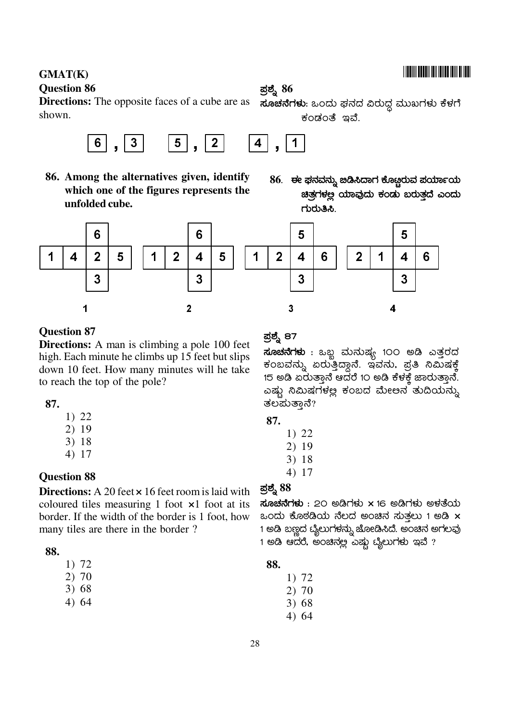#### **GMAT(K) Question 86**

**Directions:** The opposite faces of a cube are as shown.



86. Among the alternatives given, identify which one of the figures represents the unfolded cube.

### **ಪ್ರಶ್ನೆ 86**

ಸೂಚನೆಗಳು: ಒಂದು ಫನದ ವಿರುದ್ಧ ಮುಖಗಳು ಕೆಳಗೆ ಕಂಡಂತೆ ಇವೆ.

86. ಈ ಫನವನ್ನು ಜಿಡಿಸಿದಾಗ ಕೊಟ್ಟರುವ ಪರ್ಯಾಯ ಚಿತ್ರಗಳಲ್ಲ ಯಾವುದು ಕಂಡು ಬರುತ್ತದೆ ಎಂದು ಗುರುತಿಸಿ.



### **Question 87**

**Directions:** A man is climbing a pole 100 feet high. Each minute he climbs up 15 feet but slips down 10 feet. How many minutes will he take to reach the top of the pole?

### 87.

- $1) 22$
- $2)19$
- 3) 18
- $4) 17$

### **Ouestion 88**

Directions: A 20 feet x 16 feet room is laid with coloured tiles measuring 1 foot  $\times 1$  foot at its border. If the width of the border is 1 foot, how many tiles are there in the border?

### 88.

- 2) 70
- $3)68$
- $4)64$

### ಪ್ರಶ್ನೆ 87

**ಸೂಚನೆಗಳು** : ಒಬ್ಬ ಮನುಷ್ಯ 1೦೦ ಅಡಿ ಎತ್ತರದ ಕಂಬವನ್ನು ಏರುತ್ತಿದ್ದಾನೆ. ಇವನು, ಪ್ರತಿ ನಿಮಿಷಕ್ಕೆ 15 ಅಡಿ ಏರುತ್ತಾನೆ ಆದರೆ 1೦ ಅಡಿ ಕೆಳಕ್ತೆ ಜಾರುತ್ತಾನೆ. ಎಷ್ಟು ನಿಮಿಷಗಳಲ್ಲ ಕಂಬದ ಮೇಅನ ತುದಿಯನ್ನು ತಲಮತ್ತಾನೆ?

| ۰.<br>.,<br>$\sim$ |  |
|--------------------|--|
|--------------------|--|

- 1) 22
- $2)19$
- $3) 18$
- $4) 17$

### ಪ್ರಶ್ನೆ  $88$

 $\vec{a}$ ೂಚನೆಗಳು : 20 ಅಡಿಗಳು x 16 ಅಡಿಗಳು ಅಳತೆಯ ಒಂದು ಕೊಠಡಿಯ ನೆಲದ ಅಂಚಿನ ಸುತಲು 1 ಅಡಿ $\,$   $\times$ 1 ಅಡಿ ಬಣ್ಣದ ಬೈಲುಗಳನ್ನು ಜೋಡಿಸಿದೆ. ಅಂಚಿನ ಅಗಲವು 1 ಅಡಿ ಆದರೆ, ಅಂಚಿನ್ಲಲ ಎಷ್ಟು ಬೈಲುಗಳು ಇವೆ  $?$ 

### 88.

- $1)72$
- $2)70$
- $3) 68$
- $4)64$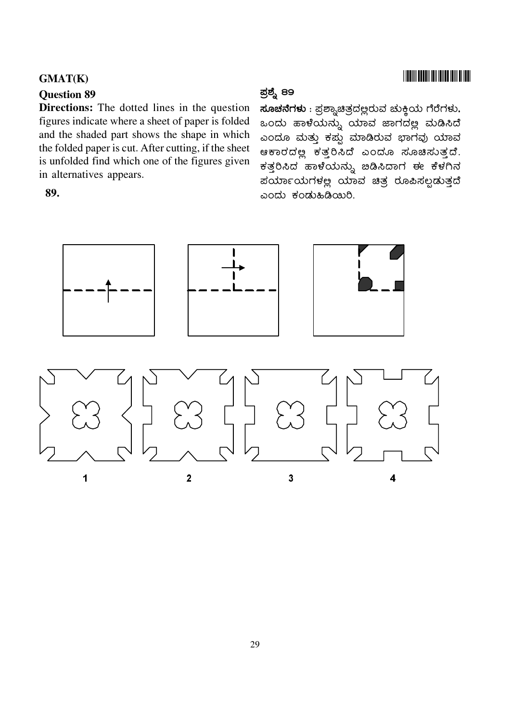#### **Question 89**

**Directions:** The dotted lines in the question figures indicate where a sheet of paper is folded and the shaded part shows the shape in which the folded paper is cut. After cutting, if the sheet is unfolded find which one of the figures given in alternatives appears.

#### 89.

### ಪ್ರಶ್ನೆ 89

ಸೂಚನೆಗಳು : ಪ್ರಶ್ಯಾಚಿತ್ರದಲ್ಲರುವ ಚುಕ್ಲಿಯ ಗೆರೆಗಳು, ಒಂದು ಹಾಳೆಯನ್ನು ಯಾವ ಜಾಗದಲ್ಲ ಮಡಿಸಿದೆ ಎಂದೂ ಮತ್ತು ಕಪ್ಪು ಮಾಡಿರುವ ಭಾಗವು ಯಾವ ಆಕಾರದಲ್ಲ ಕತ್ತರಿಸಿದೆ ಎಂದೂ ಸೂಚಿಸುತ್ತದೆ. ಕತ್ತರಿಸಿದ ಹಾಳೆಯನ್ನು ಐಡಿಸಿದಾಗ ಈ ಕೆಳಗಿನ ಪರ್ಯಾಯಗಳಲ್ಲ ಯಾವ ಚಿತ್ರ ರೂಪಿಸಲ್ಪಡುತ್ತದೆ ಎಂದು ಕಂಡುಹಿಡಿಯಿರಿ.



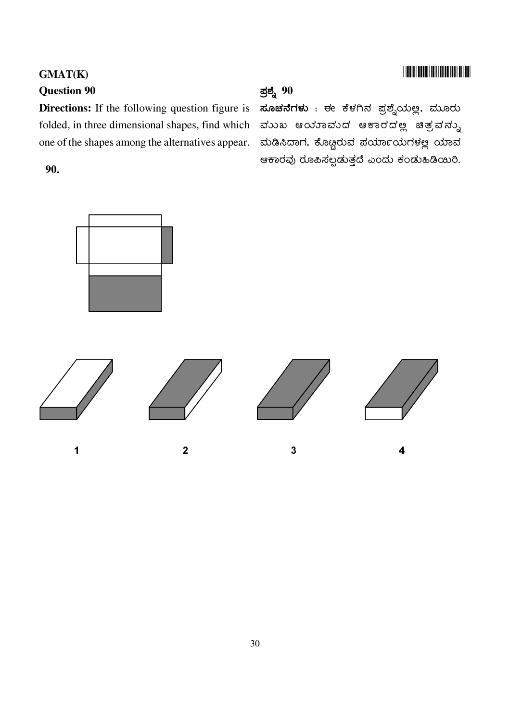### **TIONINI BOLDIN INI IDILDI IDIL DI IDDI**

### GMAT(K) **Question 90**

folded, in three dimensional shapes, find which ಮುಖ ಆಯಾಮುದ ಆಕಾರದಲ್ಲಿ ಚಿತ್ರವನ್ನು one of the shapes among the alternatives appear.

### 90.

### <u>ಪ</u>್ನಶ್ನೆ 90

Directions: If the following question figure is ಸೂಚನೆಗಳು : ಈ ಕೆಳಗಿನ ಪ್ರಶ್ನೆಯಲ್ಲ. ಮೂರು ಮಡಿಸಿದಾಗ, ಕೊಟ್ಟರುವ ಪರ್ಯಾಯಗಳಲ್ಲ ಯಾವ ಆಕಾರವು ರೂಪಿಸಲ್ಪಡುತ್ತದೆ ಎಂದು ಕಂಡುಹಿಡಿಯಿರಿ.

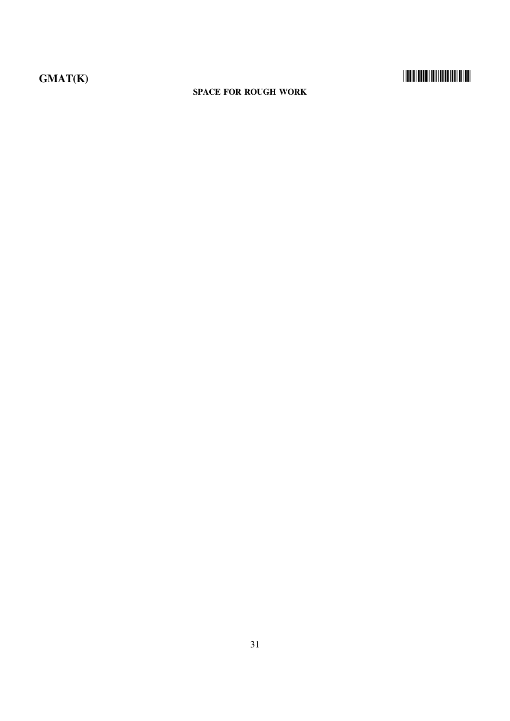# 

#### **SPACE FOR ROUGH WORK**